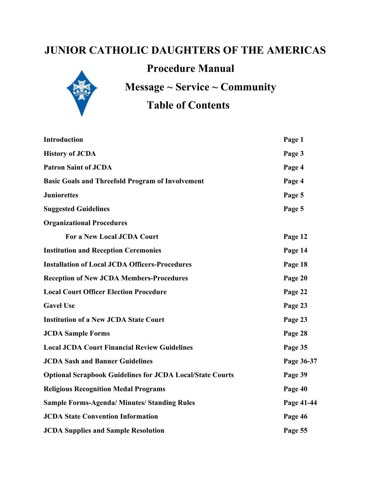# **JUNIOR CATHOLIC DAUGHTERS OF THE AMERICAS**

# **Procedure Manual**



**Message ~ Service ~ Community**

# **Table of Contents**

| <b>Introduction</b>                                              | Page 1     |
|------------------------------------------------------------------|------------|
| <b>History of JCDA</b>                                           | Page 3     |
| <b>Patron Saint of JCDA</b>                                      | Page 4     |
| <b>Basic Goals and Threefold Program of Involvement</b>          | Page 4     |
| <b>Juniorettes</b>                                               | Page 5     |
| <b>Suggested Guidelines</b>                                      | Page 5     |
| <b>Organizational Procedures</b>                                 |            |
| <b>For a New Local JCDA Court</b>                                | Page 12    |
| <b>Institution and Reception Ceremonies</b>                      | Page 14    |
| <b>Installation of Local JCDA Officers-Procedures</b>            | Page 18    |
| <b>Reception of New JCDA Members-Procedures</b>                  | Page 20    |
| <b>Local Court Officer Election Procedure</b>                    | Page 22    |
| <b>Gavel Use</b>                                                 | Page 23    |
| <b>Institution of a New JCDA State Court</b>                     | Page 23    |
| <b>JCDA Sample Forms</b>                                         | Page 28    |
| <b>Local JCDA Court Financial Review Guidelines</b>              | Page 35    |
| <b>JCDA Sash and Banner Guidelines</b>                           | Page 36-37 |
| <b>Optional Scrapbook Guidelines for JCDA Local/State Courts</b> | Page 39    |
| <b>Religious Recognition Medal Programs</b>                      | Page 40    |
| <b>Sample Forms-Agenda/Minutes/Standing Rules</b>                | Page 41-44 |
| <b>JCDA State Convention Information</b>                         | Page 46    |
| <b>JCDA Supplies and Sample Resolution</b>                       | Page 55    |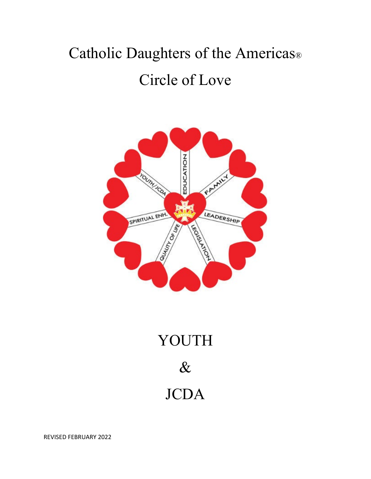# Catholic Daughters of the Americas® Circle of Love



# YOUTH  $\&$ JCDA

REVISED FEBRUARY 2022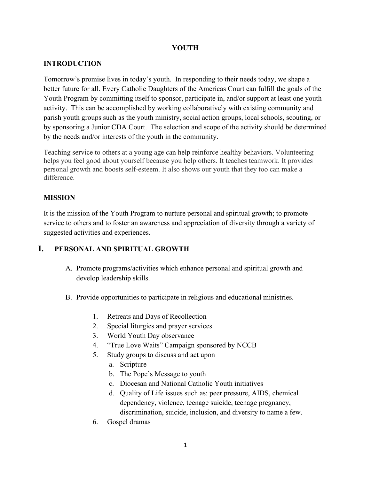#### **YOUTH**

# **INTRODUCTION**

Tomorrow's promise lives in today's youth. In responding to their needs today, we shape a better future for all. Every Catholic Daughters of the Americas Court can fulfill the goals of the Youth Program by committing itself to sponsor, participate in, and/or support at least one youth activity. This can be accomplished by working collaboratively with existing community and parish youth groups such as the youth ministry, social action groups, local schools, scouting, or by sponsoring a Junior CDA Court. The selection and scope of the activity should be determined by the needs and/or interests of the youth in the community.

Teaching service to others at a young age can help reinforce healthy behaviors. Volunteering helps you feel good about yourself because you help others. It teaches teamwork. It provides personal growth and boosts self-esteem. It also shows our youth that they too can make a difference.

# **MISSION**

It is the mission of the Youth Program to nurture personal and spiritual growth; to promote service to others and to foster an awareness and appreciation of diversity through a variety of suggested activities and experiences.

# **I. PERSONAL AND SPIRITUAL GROWTH**

- A. Promote programs/activities which enhance personal and spiritual growth and develop leadership skills.
- B. Provide opportunities to participate in religious and educational ministries.
	- 1. Retreats and Days of Recollection
	- 2. Special liturgies and prayer services
	- 3. World Youth Day observance
	- 4. "True Love Waits" Campaign sponsored by NCCB
	- 5. Study groups to discuss and act upon
		- a. Scripture
		- b. The Pope's Message to youth
		- c. Diocesan and National Catholic Youth initiatives
		- d. Quality of Life issues such as: peer pressure, AIDS, chemical dependency, violence, teenage suicide, teenage pregnancy, discrimination, suicide, inclusion, and diversity to name a few.
	- 6. Gospel dramas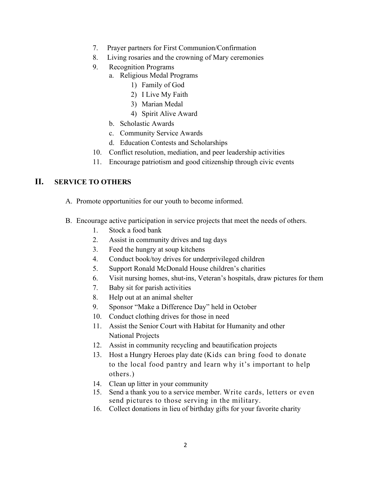- 7. Prayer partners for First Communion/Confirmation
- 8. Living rosaries and the crowning of Mary ceremonies
- 9. Recognition Programs
	- a. Religious Medal Programs
		- 1) Family of God
		- 2) I Live My Faith
		- 3) Marian Medal
		- 4) Spirit Alive Award
	- b. Scholastic Awards
	- c. Community Service Awards
	- d. Education Contests and Scholarships
- 10. Conflict resolution, mediation, and peer leadership activities
- 11. Encourage patriotism and good citizenship through civic events

# **II. SERVICE TO OTHERS**

- A. Promote opportunities for our youth to become informed.
- B. Encourage active participation in service projects that meet the needs of others.
	- 1. Stock a food bank
	- 2. Assist in community drives and tag days
	- 3. Feed the hungry at soup kitchens
	- 4. Conduct book/toy drives for underprivileged children
	- 5. Support Ronald McDonald House children's charities
	- 6. Visit nursing homes, shut-ins, Veteran's hospitals, draw pictures for them
	- 7. Baby sit for parish activities
	- 8. Help out at an animal shelter
	- 9. Sponsor "Make a Difference Day" held in October
	- 10. Conduct clothing drives for those in need
	- 11. Assist the Senior Court with Habitat for Humanity and other National Projects
	- 12. Assist in community recycling and beautification projects
	- 13. Host a Hungry Heroes play date (Kids can bring food to donate to the local food pantry and learn why it's important to help others.)
	- 14. Clean up litter in your community
	- 15. Send a thank you to a service member. Write cards, letters or even send pictures to those serving in the military.
	- 16. Collect donations in lieu of birthday gifts for your favorite charity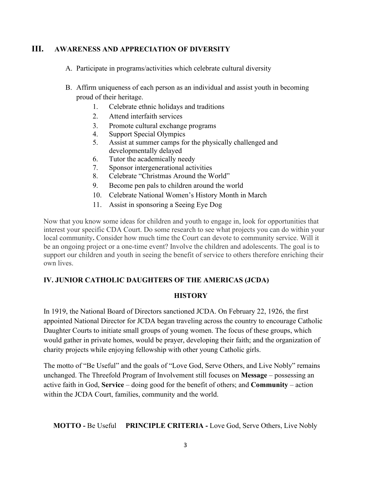# **III. AWARENESS AND APPRECIATION OF DIVERSITY**

- A. Participate in programs/activities which celebrate cultural diversity
- B. Affirm uniqueness of each person as an individual and assist youth in becoming proud of their heritage.
	- 1. Celebrate ethnic holidays and traditions
	- 2. Attend interfaith services
	- 3. Promote cultural exchange programs
	- 4. Support Special Olympics
	- 5. Assist at summer camps for the physically challenged and developmentally delayed
	- 6. Tutor the academically needy
	- 7. Sponsor intergenerational activities
	- 8. Celebrate "Christmas Around the World"
	- 9. Become pen pals to children around the world
	- 10. Celebrate National Women's History Month in March
	- 11. Assist in sponsoring a Seeing Eye Dog

Now that you know some ideas for children and youth to engage in, look for opportunities that interest your specific CDA Court. Do some research to see what projects you can do within your local community**.** Consider how much time the Court can devote to community service. Will it be an ongoing project or a one-time event? Involve the children and adolescents. The goal is to support our children and youth in seeing the benefit of service to others therefore enriching their own lives.

#### **IV. JUNIOR CATHOLIC DAUGHTERS OF THE AMERICAS (JCDA)**

#### **HISTORY**

In 1919, the National Board of Directors sanctioned JCDA. On February 22, 1926, the first appointed National Director for JCDA began traveling across the country to encourage Catholic Daughter Courts to initiate small groups of young women. The focus of these groups, which would gather in private homes, would be prayer, developing their faith; and the organization of charity projects while enjoying fellowship with other young Catholic girls.

The motto of "Be Useful" and the goals of "Love God, Serve Others, and Live Nobly" remains unchanged. The Threefold Program of Involvement still focuses on **Message** – possessing an active faith in God, **Service** – doing good for the benefit of others; and **Community** – action within the JCDA Court, families, community and the world.

**MOTTO -** Be Useful **PRINCIPLE CRITERIA -** Love God, Serve Others, Live Nobly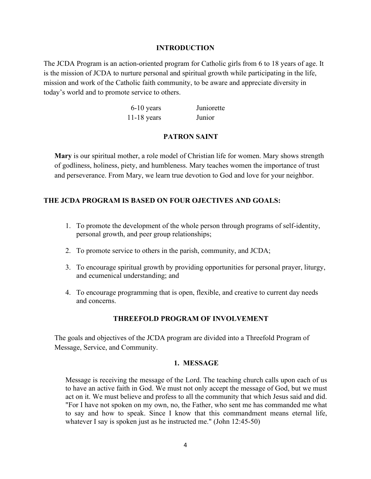#### **INTRODUCTION**

The JCDA Program is an action-oriented program for Catholic girls from 6 to 18 years of age. It is the mission of JCDA to nurture personal and spiritual growth while participating in the life, mission and work of the Catholic faith community, to be aware and appreciate diversity in today's world and to promote service to others.

| $6-10$ years  | Juniorette |
|---------------|------------|
| $11-18$ years | Junior     |

#### **PATRON SAINT**

**Mary** is our spiritual mother, a role model of Christian life for women. Mary shows strength of godliness, holiness, piety, and humbleness. Mary teaches women the importance of trust and perseverance. From Mary, we learn true devotion to God and love for your neighbor.

#### **THE JCDA PROGRAM IS BASED ON FOUR OJECTIVES AND GOALS:**

- 1. To promote the development of the whole person through programs of self-identity, personal growth, and peer group relationships;
- 2. To promote service to others in the parish, community, and JCDA;
- 3. To encourage spiritual growth by providing opportunities for personal prayer, liturgy, and ecumenical understanding; and
- 4. To encourage programming that is open, flexible, and creative to current day needs and concerns.

#### **THREEFOLD PROGRAM OF INVOLVEMENT**

The goals and objectives of the JCDA program are divided into a Threefold Program of Message, Service, and Community.

#### **1. MESSAGE**

Message is receiving the message of the Lord. The teaching church calls upon each of us to have an active faith in God. We must not only accept the message of God, but we must act on it. We must believe and profess to all the community that which Jesus said and did. "For I have not spoken on my own, no, the Father, who sent me has commanded me what to say and how to speak. Since I know that this commandment means eternal life, whatever I say is spoken just as he instructed me." (John 12:45-50)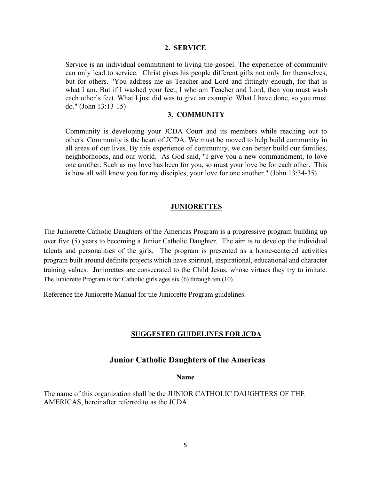#### **2. SERVICE**

Service is an individual commitment to living the gospel. The experience of community can only lead to service. Christ gives his people different gifts not only for themselves, but for others. "You address me as Teacher and Lord and fittingly enough, for that is what I am. But if I washed your feet, I who am Teacher and Lord, then you must wash each other's feet. What I just did was to give an example. What I have done, so you must do." (John 13:13-15)

#### **3. COMMUNITY**

Community is developing your JCDA Court and its members while reaching out to others. Community is the heart of JCDA. We must be moved to help build community in all areas of our lives. By this experience of community, we can better build our families, neighborhoods, and our world. As God said, "I give you a new commandment, to love one another. Such as my love has been for you, so must your love be for each other. This is how all will know you for my disciples, your love for one another." (John 13:34-35)

#### **JUNIORETTES**

The Juniorette Catholic Daughters of the Americas Program is a progressive program building up over five (5) years to becoming a Junior Catholic Daughter. The aim is to develop the individual talents and personalities of the girls. The program is presented as a home-centered activities program built around definite projects which have spiritual, inspirational, educational and character training values. Juniorettes are consecrated to the Child Jesus, whose virtues they try to imitate. The Juniorette Program is for Catholic girls ages six (6) through ten (10).

Reference the Juniorette Manual for the Juniorette Program guidelines.

#### **SUGGESTED GUIDELINES FOR JCDA**

#### **Junior Catholic Daughters of the Americas**

#### **Name**

The name of this organization shall be the JUNIOR CATHOLIC DAUGHTERS OF THE AMERICAS, hereinafter referred to as the JCDA.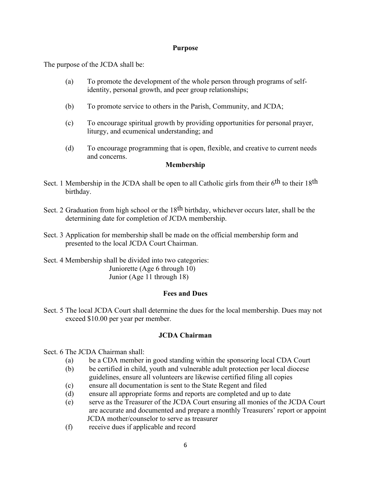#### **Purpose**

The purpose of the JCDA shall be:

- (a) To promote the development of the whole person through programs of selfidentity, personal growth, and peer group relationships;
- (b) To promote service to others in the Parish, Community, and JCDA;
- (c) To encourage spiritual growth by providing opportunities for personal prayer, liturgy, and ecumenical understanding; and
- (d) To encourage programming that is open, flexible, and creative to current needs and concerns.

#### **Membership**

- Sect. 1 Membership in the JCDA shall be open to all Catholic girls from their 6<sup>th</sup> to their 18<sup>th</sup> birthday.
- Sect. 2 Graduation from high school or the 18<sup>th</sup> birthday, whichever occurs later, shall be the determining date for completion of JCDA membership.
- Sect. 3 Application for membership shall be made on the official membership form and presented to the local JCDA Court Chairman.
- Sect. 4 Membership shall be divided into two categories: Juniorette (Age 6 through 10) Junior (Age 11 through 18)

#### **Fees and Dues**

Sect. 5 The local JCDA Court shall determine the dues for the local membership. Dues may not exceed \$10.00 per year per member.

#### **JCDA Chairman**

Sect. 6 The JCDA Chairman shall:

- (a) be a CDA member in good standing within the sponsoring local CDA Court
- (b) be certified in child, youth and vulnerable adult protection per local diocese guidelines, ensure all volunteers are likewise certified filing all copies
- (c) ensure all documentation is sent to the State Regent and filed
- (d) ensure all appropriate forms and reports are completed and up to date
- (e) serve as the Treasurer of the JCDA Court ensuring all monies of the JCDA Court are accurate and documented and prepare a monthly Treasurers' report or appoint JCDA mother/counselor to serve as treasurer
- (f) receive dues if applicable and record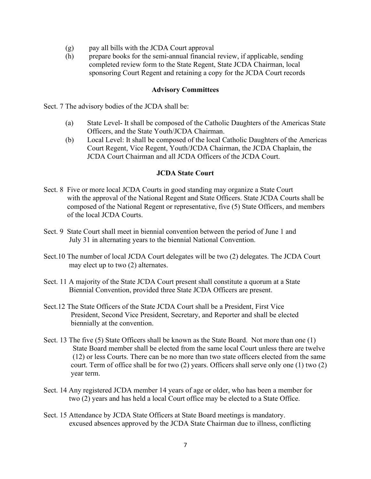- (g) pay all bills with the JCDA Court approval
- (h) prepare books for the semi-annual financial review, if applicable, sending completed review form to the State Regent, State JCDA Chairman, local sponsoring Court Regent and retaining a copy for the JCDA Court records

#### **Advisory Committees**

Sect. 7 The advisory bodies of the JCDA shall be:

- (a) State Level- It shall be composed of the Catholic Daughters of the Americas State Officers, and the State Youth/JCDA Chairman.
- (b) Local Level: It shall be composed of the local Catholic Daughters of the Americas Court Regent, Vice Regent, Youth/JCDA Chairman, the JCDA Chaplain, the JCDA Court Chairman and all JCDA Officers of the JCDA Court.

#### **JCDA State Court**

- Sect. 8 Five or more local JCDA Courts in good standing may organize a State Court with the approval of the National Regent and State Officers. State JCDA Courts shall be composed of the National Regent or representative, five (5) State Officers, and members of the local JCDA Courts.
- Sect. 9 State Court shall meet in biennial convention between the period of June 1 and July 31 in alternating years to the biennial National Convention.
- Sect.10 The number of local JCDA Court delegates will be two (2) delegates. The JCDA Court may elect up to two (2) alternates.
- Sect. 11 A majority of the State JCDA Court present shall constitute a quorum at a State Biennial Convention, provided three State JCDA Officers are present.
- Sect.12 The State Officers of the State JCDA Court shall be a President, First Vice President, Second Vice President, Secretary, and Reporter and shall be elected biennially at the convention.
- Sect. 13 The five (5) State Officers shall be known as the State Board. Not more than one (1) State Board member shall be elected from the same local Court unless there are twelve (12) or less Courts. There can be no more than two state officers elected from the same court. Term of office shall be for two (2) years. Officers shall serve only one (1) two (2) year term.
- Sect. 14 Any registered JCDA member 14 years of age or older, who has been a member for two (2) years and has held a local Court office may be elected to a State Office.
- Sect. 15 Attendance by JCDA State Officers at State Board meetings is mandatory. excused absences approved by the JCDA State Chairman due to illness, conflicting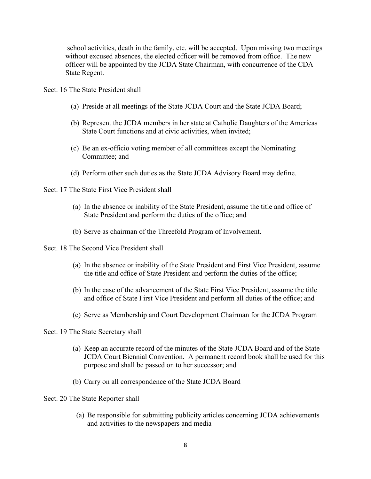school activities, death in the family, etc. will be accepted. Upon missing two meetings without excused absences, the elected officer will be removed from office. The new officer will be appointed by the JCDA State Chairman, with concurrence of the CDA State Regent.

Sect. 16 The State President shall

- (a) Preside at all meetings of the State JCDA Court and the State JCDA Board;
- (b) Represent the JCDA members in her state at Catholic Daughters of the Americas State Court functions and at civic activities, when invited;
- (c) Be an ex-officio voting member of all committees except the Nominating Committee; and
- (d) Perform other such duties as the State JCDA Advisory Board may define.
- Sect. 17 The State First Vice President shall
	- (a) In the absence or inability of the State President, assume the title and office of State President and perform the duties of the office; and
	- (b) Serve as chairman of the Threefold Program of Involvement.
- Sect. 18 The Second Vice President shall
	- (a) In the absence or inability of the State President and First Vice President, assume the title and office of State President and perform the duties of the office;
	- (b) In the case of the advancement of the State First Vice President, assume the title and office of State First Vice President and perform all duties of the office; and
	- (c) Serve as Membership and Court Development Chairman for the JCDA Program

Sect. 19 The State Secretary shall

- (a) Keep an accurate record of the minutes of the State JCDA Board and of the State JCDA Court Biennial Convention. A permanent record book shall be used for this purpose and shall be passed on to her successor; and
- (b) Carry on all correspondence of the State JCDA Board

Sect. 20 The State Reporter shall

(a) Be responsible for submitting publicity articles concerning JCDA achievements and activities to the newspapers and media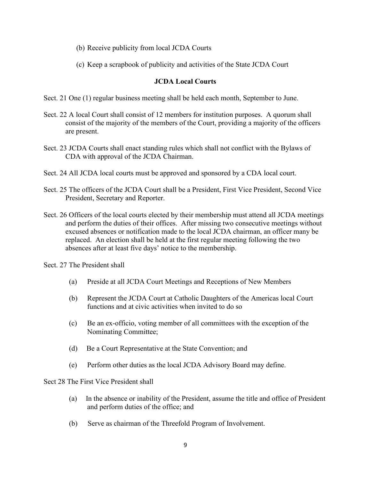- (b) Receive publicity from local JCDA Courts
- (c) Keep a scrapbook of publicity and activities of the State JCDA Court

#### **JCDA Local Courts**

- Sect. 21 One (1) regular business meeting shall be held each month, September to June.
- Sect. 22 A local Court shall consist of 12 members for institution purposes. A quorum shall consist of the majority of the members of the Court, providing a majority of the officers are present.
- Sect. 23 JCDA Courts shall enact standing rules which shall not conflict with the Bylaws of CDA with approval of the JCDA Chairman.
- Sect. 24 All JCDA local courts must be approved and sponsored by a CDA local court.
- Sect. 25 The officers of the JCDA Court shall be a President, First Vice President, Second Vice President, Secretary and Reporter.
- Sect. 26 Officers of the local courts elected by their membership must attend all JCDA meetings and perform the duties of their offices. After missing two consecutive meetings without excused absences or notification made to the local JCDA chairman, an officer many be replaced. An election shall be held at the first regular meeting following the two absences after at least five days' notice to the membership.

Sect. 27 The President shall

- (a) Preside at all JCDA Court Meetings and Receptions of New Members
- (b) Represent the JCDA Court at Catholic Daughters of the Americas local Court functions and at civic activities when invited to do so
- (c) Be an ex-officio, voting member of all committees with the exception of the Nominating Committee;
- (d) Be a Court Representative at the State Convention; and
- (e) Perform other duties as the local JCDA Advisory Board may define.

Sect 28 The First Vice President shall

- (a) In the absence or inability of the President, assume the title and office of President and perform duties of the office; and
- (b) Serve as chairman of the Threefold Program of Involvement.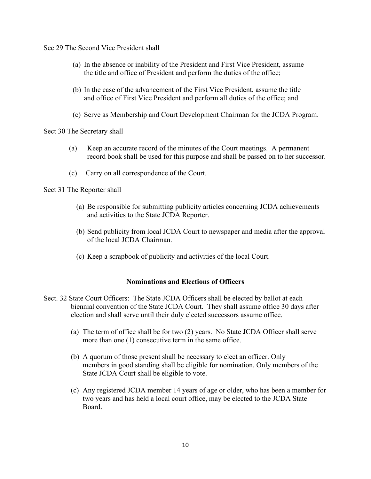Sec 29 The Second Vice President shall

- (a) In the absence or inability of the President and First Vice President, assume the title and office of President and perform the duties of the office;
- (b) In the case of the advancement of the First Vice President, assume the title and office of First Vice President and perform all duties of the office; and
- (c) Serve as Membership and Court Development Chairman for the JCDA Program.

Sect 30 The Secretary shall

- (a) Keep an accurate record of the minutes of the Court meetings. A permanent record book shall be used for this purpose and shall be passed on to her successor.
- (c) Carry on all correspondence of the Court.

Sect 31 The Reporter shall

- (a) Be responsible for submitting publicity articles concerning JCDA achievements and activities to the State JCDA Reporter.
- (b) Send publicity from local JCDA Court to newspaper and media after the approval of the local JCDA Chairman.
- (c) Keep a scrapbook of publicity and activities of the local Court.

#### **Nominations and Elections of Officers**

- Sect. 32 State Court Officers: The State JCDA Officers shall be elected by ballot at each biennial convention of the State JCDA Court. They shall assume office 30 days after election and shall serve until their duly elected successors assume office.
	- (a) The term of office shall be for two (2) years. No State JCDA Officer shall serve more than one (1) consecutive term in the same office.
	- (b) A quorum of those present shall be necessary to elect an officer. Only members in good standing shall be eligible for nomination. Only members of the State JCDA Court shall be eligible to vote.
	- (c) Any registered JCDA member 14 years of age or older, who has been a member for two years and has held a local court office, may be elected to the JCDA State Board.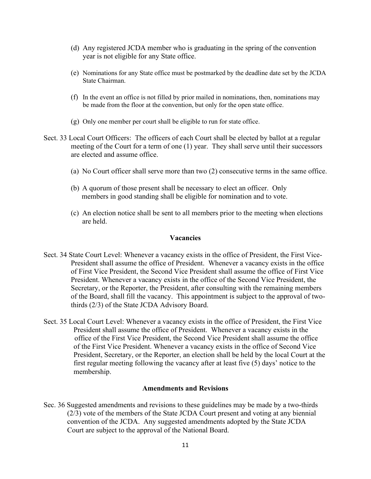- (d) Any registered JCDA member who is graduating in the spring of the convention year is not eligible for any State office.
- (e) Nominations for any State office must be postmarked by the deadline date set by the JCDA State Chairman.
- (f) In the event an office is not filled by prior mailed in nominations, then, nominations may be made from the floor at the convention, but only for the open state office.
- (g) Only one member per court shall be eligible to run for state office.
- Sect. 33 Local Court Officers: The officers of each Court shall be elected by ballot at a regular meeting of the Court for a term of one (1) year. They shall serve until their successors are elected and assume office.
	- (a) No Court officer shall serve more than two (2) consecutive terms in the same office.
	- (b) A quorum of those present shall be necessary to elect an officer. Only members in good standing shall be eligible for nomination and to vote.
	- (c) An election notice shall be sent to all members prior to the meeting when elections are held.

#### **Vacancies**

- Sect. 34 State Court Level: Whenever a vacancy exists in the office of President, the First Vice- President shall assume the office of President. Whenever a vacancy exists in the office of First Vice President, the Second Vice President shall assume the office of First Vice President. Whenever a vacancy exists in the office of the Second Vice President, the Secretary, or the Reporter, the President, after consulting with the remaining members of the Board, shall fill the vacancy. This appointment is subject to the approval of two thirds (2/3) of the State JCDA Advisory Board.
- Sect. 35 Local Court Level: Whenever a vacancy exists in the office of President, the First Vice President shall assume the office of President. Whenever a vacancy exists in the office of the First Vice President, the Second Vice President shall assume the office of the First Vice President. Whenever a vacancy exists in the office of Second Vice President, Secretary, or the Reporter, an election shall be held by the local Court at the first regular meeting following the vacancy after at least five (5) days' notice to the membership.

#### **Amendments and Revisions**

Sec. 36 Suggested amendments and revisions to these guidelines may be made by a two-thirds (2/3) vote of the members of the State JCDA Court present and voting at any biennial convention of the JCDA. Any suggested amendments adopted by the State JCDA Court are subject to the approval of the National Board.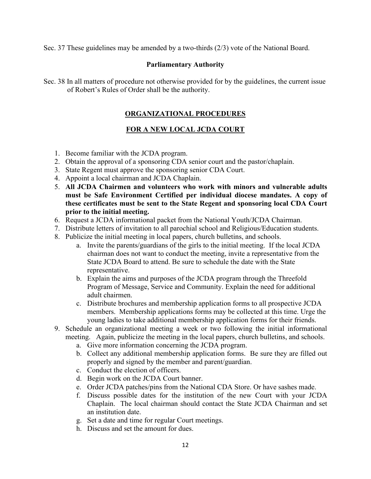Sec. 37 These guidelines may be amended by a two-thirds (2/3) vote of the National Board.

#### **Parliamentary Authority**

Sec. 38 In all matters of procedure not otherwise provided for by the guidelines, the current issue of Robert's Rules of Order shall be the authority.

#### **ORGANIZATIONAL PROCEDURES**

#### **FOR A NEW LOCAL JCDA COURT**

- 1. Become familiar with the JCDA program.
- 2. Obtain the approval of a sponsoring CDA senior court and the pastor/chaplain.
- 3. State Regent must approve the sponsoring senior CDA Court.
- 4. Appoint a local chairman and JCDA Chaplain.
- 5. **All JCDA Chairmen and volunteers who work with minors and vulnerable adults must be Safe Environment Certified per individual diocese mandates. A copy of these certificates must be sent to the State Regent and sponsoring local CDA Court prior to the initial meeting.**
- 6. Request a JCDA informational packet from the National Youth/JCDA Chairman.
- 7. Distribute letters of invitation to all parochial school and Religious/Education students.
- 8. Publicize the initial meeting in local papers, church bulletins, and schools.
	- a. Invite the parents/guardians of the girls to the initial meeting. If the local JCDA chairman does not want to conduct the meeting, invite a representative from the State JCDA Board to attend. Be sure to schedule the date with the State representative.
	- b. Explain the aims and purposes of the JCDA program through the Threefold Program of Message, Service and Community. Explain the need for additional adult chairmen.
	- c. Distribute brochures and membership application forms to all prospective JCDA members. Membership applications forms may be collected at this time. Urge the young ladies to take additional membership application forms for their friends.
- 9. Schedule an organizational meeting a week or two following the initial informational meeting. Again, publicize the meeting in the local papers, church bulletins, and schools.
	- a. Give more information concerning the JCDA program.
	- b. Collect any additional membership application forms. Be sure they are filled out properly and signed by the member and parent/guardian.
	- c. Conduct the election of officers.
	- d. Begin work on the JCDA Court banner.
	- e. Order JCDA patches/pins from the National CDA Store. Or have sashes made.
	- f. Discuss possible dates for the institution of the new Court with your JCDA Chaplain. The local chairman should contact the State JCDA Chairman and set an institution date.
	- g. Set a date and time for regular Court meetings.
	- h. Discuss and set the amount for dues.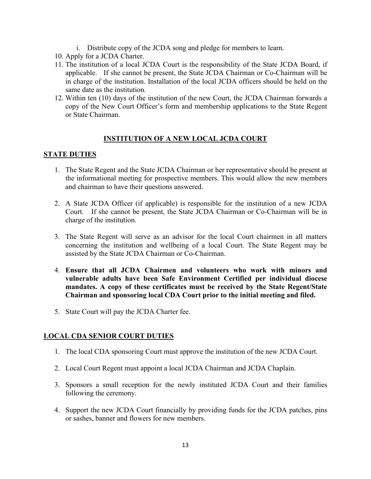- i. Distribute copy of the JCDA song and pledge for members to learn.
- 10. Apply for a JCDA Charter.
- 11. The institution of a local JCDA Court is the responsibility of the State JCDA Board, if applicable. If she cannot be present, the State JCDA Chairman or Co-Chairman will be in charge of the institution. Installation of the local JCDA officers should be held on the same date as the institution.
- 12. Within ten (10) days of the institution of the new Court, the JCDA Chairman forwards a copy of the New Court Officer's form and membership applications to the State Regent or State Chairman.

#### **INSTITUTION OF A NEW LOCAL JCDA COURT**

#### **STATE DUTIES**

- 1. The State Regent and the State JCDA Chairman or her representative should be present at the informational meeting for prospective members. This would allow the new members and chairman to have their questions answered.
- 2. A State JCDA Officer (if applicable) is responsible for the institution of a new JCDA Court. If she cannot be present, the State JCDA Chairman or Co-Chairman will be in charge of the institution.
- 3. The State Regent will serve as an advisor for the local Court chairmen in all matters concerning the institution and wellbeing of a local Court. The State Regent may be assisted by the State JCDA Chairman or Co-Chairman.
- 4. **Ensure that all JCDA Chairmen and volunteers who work with minors and vulnerable adults have been Safe Environment Certified per individual diocese mandates. A copy of these certificates must be received by the State Regent/State Chairman and sponsoring local CDA Court prior to the initial meeting and filed.**
- 5. State Court will pay the JCDA Charter fee.

#### **LOCAL CDA SENIOR COURT DUTIES**

- 1. The local CDA sponsoring Court must approve the institution of the new JCDA Court.
- 2. Local Court Regent must appoint a local JCDA Chairman and JCDA Chaplain.
- 3. Sponsors a small reception for the newly instituted JCDA Court and their families following the ceremony.
- 4. Support the new JCDA Court financially by providing funds for the JCDA patches, pins or sashes, banner and flowers for new members.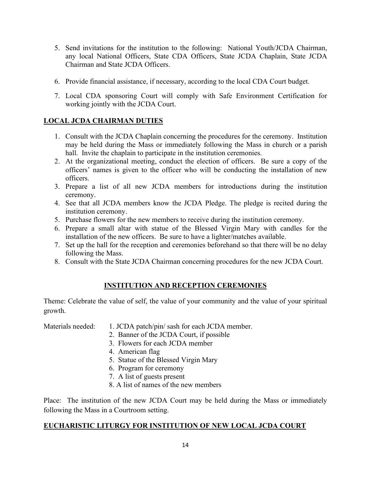- 5. Send invitations for the institution to the following: National Youth/JCDA Chairman, any local National Officers, State CDA Officers, State JCDA Chaplain, State JCDA Chairman and State JCDA Officers.
- 6. Provide financial assistance, if necessary, according to the local CDA Court budget.
- 7. Local CDA sponsoring Court will comply with Safe Environment Certification for working jointly with the JCDA Court.

# **LOCAL JCDA CHAIRMAN DUTIES**

- 1. Consult with the JCDA Chaplain concerning the procedures for the ceremony. Institution may be held during the Mass or immediately following the Mass in church or a parish hall. Invite the chaplain to participate in the institution ceremonies.
- 2. At the organizational meeting, conduct the election of officers. Be sure a copy of the officers' names is given to the officer who will be conducting the installation of new officers.
- 3. Prepare a list of all new JCDA members for introductions during the institution ceremony.
- 4. See that all JCDA members know the JCDA Pledge. The pledge is recited during the institution ceremony.
- 5. Purchase flowers for the new members to receive during the institution ceremony.
- 6. Prepare a small altar with statue of the Blessed Virgin Mary with candles for the installation of the new officers. Be sure to have a lighter/matches available.
- 7. Set up the hall for the reception and ceremonies beforehand so that there will be no delay following the Mass.
- 8. Consult with the State JCDA Chairman concerning procedures for the new JCDA Court.

#### **INSTITUTION AND RECEPTION CEREMONIES**

Theme: Celebrate the value of self, the value of your community and the value of your spiritual growth.

Materials needed: 1. JCDA patch/pin/ sash for each JCDA member.

- 2. Banner of the JCDA Court, if possible
- 3. Flowers for each JCDA member
- 4. American flag
- 5. Statue of the Blessed Virgin Mary
- 6. Program for ceremony
- 7. A list of guests present
- 8. A list of names of the new members

Place: The institution of the new JCDA Court may be held during the Mass or immediately following the Mass in a Courtroom setting.

#### **EUCHARISTIC LITURGY FOR INSTITUTION OF NEW LOCAL JCDA COURT**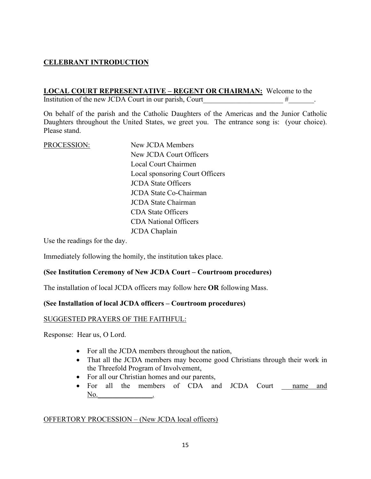# **CELEBRANT INTRODUCTION**

#### **LOCAL COURT REPRESENTATIVE – REGENT OR CHAIRMAN:** Welcome to the

Institution of the new JCDA Court in our parish, Court  $\qquad$  #

On behalf of the parish and the Catholic Daughters of the Americas and the Junior Catholic Daughters throughout the United States, we greet you. The entrance song is: (your choice). Please stand.

PROCESSION:New JCDA Members New JCDA Court Officers Local Court Chairmen Local sponsoring Court Officers JCDA State Officers JCDA State Co-Chairman JCDA State Chairman CDA State Officers CDA National Officers JCDA Chaplain

Use the readings for the day.

Immediately following the homily, the institution takes place.

#### **(See Institution Ceremony of New JCDA Court – Courtroom procedures)**

The installation of local JCDA officers may follow here **OR** following Mass.

#### **(See Installation of local JCDA officers – Courtroom procedures)**

#### SUGGESTED PRAYERS OF THE FAITHFUL:

Response: Hear us, O Lord.

- For all the JCDA members throughout the nation,
- That all the JCDA members may become good Christians through their work in the Threefold Program of Involvement,
- For all our Christian homes and our parents,
- For all the members of CDA and JCDA Court hame and  $No.$

#### OFFERTORY PROCESSION – (New JCDA local officers)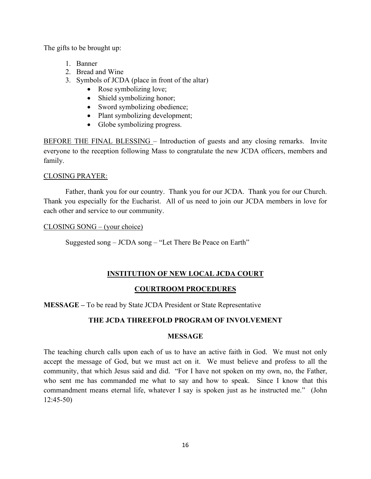The gifts to be brought up:

- 1. Banner
- 2. Bread and Wine
- 3. Symbols of JCDA (place in front of the altar)
	- Rose symbolizing love;
	- Shield symbolizing honor;
	- Sword symbolizing obedience;
	- Plant symbolizing development;
	- Globe symbolizing progress.

BEFORE THE FINAL BLESSING – Introduction of guests and any closing remarks. Invite everyone to the reception following Mass to congratulate the new JCDA officers, members and family.

#### CLOSING PRAYER:

Father, thank you for our country. Thank you for our JCDA. Thank you for our Church. Thank you especially for the Eucharist. All of us need to join our JCDA members in love for each other and service to our community.

CLOSING SONG – (your choice)

Suggested song – JCDA song – "Let There Be Peace on Earth"

# **INSTITUTION OF NEW LOCAL JCDA COURT**

#### **COURTROOM PROCEDURES**

**MESSAGE –** To be read by State JCDA President or State Representative

#### **THE JCDA THREEFOLD PROGRAM OF INVOLVEMENT**

#### **MESSAGE**

The teaching church calls upon each of us to have an active faith in God. We must not only accept the message of God, but we must act on it. We must believe and profess to all the community, that which Jesus said and did. "For I have not spoken on my own, no, the Father, who sent me has commanded me what to say and how to speak. Since I know that this commandment means eternal life, whatever I say is spoken just as he instructed me." (John 12:45-50)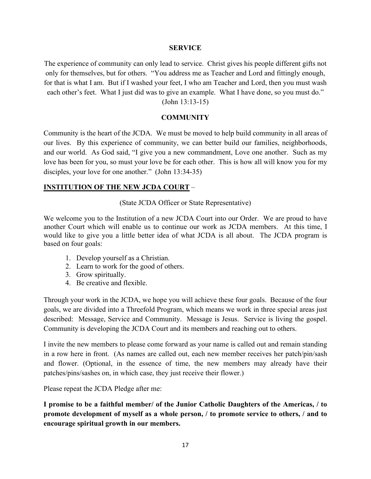#### **SERVICE**

The experience of community can only lead to service. Christ gives his people different gifts not only for themselves, but for others. "You address me as Teacher and Lord and fittingly enough, for that is what I am. But if I washed your feet, I who am Teacher and Lord, then you must wash each other's feet. What I just did was to give an example. What I have done, so you must do." (John 13:13-15)

#### **COMMUNITY**

Community is the heart of the JCDA. We must be moved to help build community in all areas of our lives. By this experience of community, we can better build our families, neighborhoods, and our world. As God said, "I give you a new commandment, Love one another. Such as my love has been for you, so must your love be for each other. This is how all will know you for my disciples, your love for one another." (John 13:34-35)

#### **INSTITUTION OF THE NEW JCDA COURT** –

(State JCDA Officer or State Representative)

We welcome you to the Institution of a new JCDA Court into our Order. We are proud to have another Court which will enable us to continue our work as JCDA members. At this time, I would like to give you a little better idea of what JCDA is all about. The JCDA program is based on four goals:

- 1. Develop yourself as a Christian.
- 2. Learn to work for the good of others.
- 3. Grow spiritually.
- 4. Be creative and flexible.

Through your work in the JCDA, we hope you will achieve these four goals. Because of the four goals, we are divided into a Threefold Program, which means we work in three special areas just described: Message, Service and Community. Message is Jesus. Service is living the gospel. Community is developing the JCDA Court and its members and reaching out to others.

I invite the new members to please come forward as your name is called out and remain standing in a row here in front. (As names are called out, each new member receives her patch/pin/sash and flower. (Optional, in the essence of time, the new members may already have their patches/pins/sashes on, in which case, they just receive their flower.)

Please repeat the JCDA Pledge after me:

**I promise to be a faithful member/ of the Junior Catholic Daughters of the Americas, / to promote development of myself as a whole person, / to promote service to others, / and to encourage spiritual growth in our members.**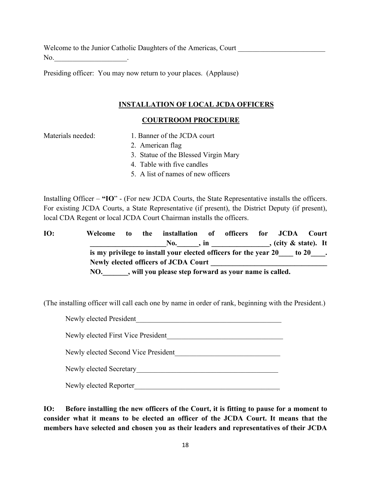Welcome to the Junior Catholic Daughters of the Americas, Court No.

Presiding officer: You may now return to your places. (Applause)

#### **INSTALLATION OF LOCAL JCDA OFFICERS**

#### **COURTROOM PROCEDURE**

- Materials needed: 1. Banner of the JCDA court
	- 2. American flag
	- 3. Statue of the Blessed Virgin Mary
	- 4. Table with five candles
	- 5. A list of names of new officers

Installing Officer – **"IO**" - (For new JCDA Courts, the State Representative installs the officers. For existing JCDA Courts, a State Representative (if present), the District Deputy (if present), local CDA Regent or local JCDA Court Chairman installs the officers.

**IO: Welcome to the installation of officers for JCDA Court \_\_\_\_\_\_\_\_\_\_\_\_\_\_\_\_\_\_\_\_\_No.\_\_\_\_\_\_, in \_\_\_\_\_\_\_\_\_\_\_\_\_\_\_\_, (city & state). It is my privilege to install your elected officers for the year 20** to 20  $\ldots$ Newly elected officers of **JCDA Court NO.\_\_\_\_\_\_\_, will you please step forward as your name is called.** 

(The installing officer will call each one by name in order of rank, beginning with the President.)

| Newly elected President             |
|-------------------------------------|
| Newly elected First Vice President  |
| Newly elected Second Vice President |
| Newly elected Secretary             |
| Newly elected Reporter              |

**IO: Before installing the new officers of the Court, it is fitting to pause for a moment to consider what it means to be elected an officer of the JCDA Court. It means that the members have selected and chosen you as their leaders and representatives of their JCDA**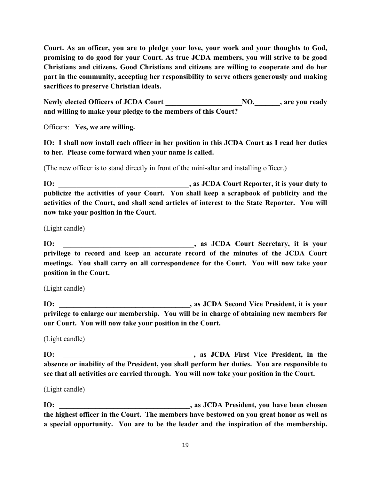**Court. As an officer, you are to pledge your love, your work and your thoughts to God, promising to do good for your Court. As true JCDA members, you will strive to be good Christians and citizens. Good Christians and citizens are willing to cooperate and do her part in the community, accepting her responsibility to serve others generously and making sacrifices to preserve Christian ideals.**

**Newly elected Officers of JCDA Court \_\_\_\_\_\_\_\_\_\_\_\_\_\_\_\_\_\_\_\_\_NO.\_\_\_\_\_\_\_, are you ready and willing to make your pledge to the members of this Court?**

Officers: **Yes, we are willing.**

**IO: I shall now install each officer in her position in this JCDA Court as I read her duties to her. Please come forward when your name is called.**

(The new officer is to stand directly in front of the mini-altar and installing officer.)

**IO: \_\_\_\_\_\_\_\_\_\_\_\_\_\_\_\_\_\_\_\_\_\_\_\_\_\_\_\_\_\_\_\_\_\_\_\_, as JCDA Court Reporter, it is your duty to publicize the activities of your Court. You shall keep a scrapbook of publicity and the activities of the Court, and shall send articles of interest to the State Reporter. You will now take your position in the Court.** 

(Light candle)

**IO: \_\_\_\_\_\_\_\_\_\_\_\_\_\_\_\_\_\_\_\_\_\_\_\_\_\_\_\_\_\_\_\_\_\_\_\_, as JCDA Court Secretary, it is your privilege to record and keep an accurate record of the minutes of the JCDA Court meetings. You shall carry on all correspondence for the Court. You will now take your position in the Court.** 

(Light candle)

**IO: \_\_\_\_\_\_\_\_\_\_\_\_\_\_\_\_\_\_\_\_\_\_\_\_\_\_\_\_\_\_\_\_\_\_\_\_, as JCDA Second Vice President, it is your privilege to enlarge our membership. You will be in charge of obtaining new members for our Court. You will now take your position in the Court.** 

(Light candle)

**IO: \_\_\_\_\_\_\_\_\_\_\_\_\_\_\_\_\_\_\_\_\_\_\_\_\_\_\_\_\_\_\_\_\_\_\_\_, as JCDA First Vice President, in the absence or inability of the President, you shall perform her duties. You are responsible to see that all activities are carried through. You will now take your position in the Court.** 

(Light candle)

**IO: \_\_\_\_\_\_\_\_\_\_\_\_\_\_\_\_\_\_\_\_\_\_\_\_\_\_\_\_\_\_\_\_\_\_\_\_, as JCDA President, you have been chosen the highest officer in the Court. The members have bestowed on you great honor as well as a special opportunity. You are to be the leader and the inspiration of the membership.**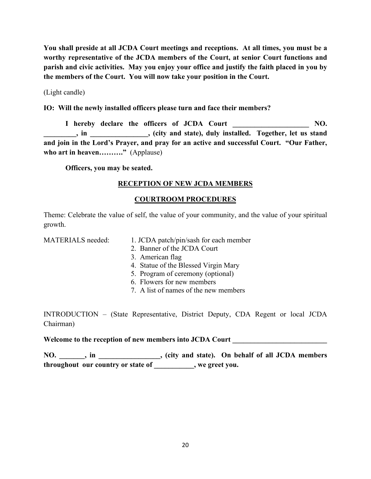**You shall preside at all JCDA Court meetings and receptions. At all times, you must be a worthy representative of the JCDA members of the Court, at senior Court functions and parish and civic activities. May you enjoy your office and justify the faith placed in you by the members of the Court. You will now take your position in the Court.** 

(Light candle)

**IO: Will the newly installed officers please turn and face their members?**

I hereby declare the officers of JCDA Court **NO. \_\_\_\_\_\_\_\_\_, in \_\_\_\_\_\_\_\_\_\_\_\_\_\_\_\_, (city and state), duly installed. Together, let us stand and join in the Lord's Prayer, and pray for an active and successful Court. "Our Father, who art in heaven………."** (Applause)

 **Officers, you may be seated.** 

# **RECEPTION OF NEW JCDA MEMBERS**

# **COURTROOM PROCEDURES**

Theme: Celebrate the value of self, the value of your community, and the value of your spiritual growth.

- MATERIALS needed: 1. JCDA patch/pin/sash for each member
	- 2. Banner of the JCDA Court
	- 3. American flag
	- 4. Statue of the Blessed Virgin Mary
	- 5. Program of ceremony (optional)
	- 6. Flowers for new members
	- 7. A list of names of the new members

INTRODUCTION – (State Representative, District Deputy, CDA Regent or local JCDA Chairman)

Welcome to the reception of new members into JCDA Court

**NO. \_\_\_\_\_\_\_, in \_\_\_\_\_\_\_\_\_\_\_\_\_\_\_\_\_, (city and state). On behalf of all JCDA members throughout our country or state of \_\_\_\_\_\_\_\_\_\_\_, we greet you.**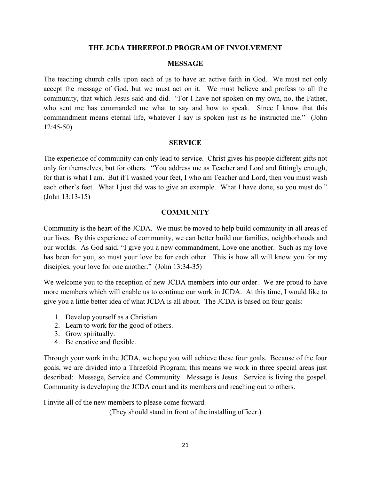#### **THE JCDA THREEFOLD PROGRAM OF INVOLVEMENT**

#### **MESSAGE**

The teaching church calls upon each of us to have an active faith in God. We must not only accept the message of God, but we must act on it. We must believe and profess to all the community, that which Jesus said and did. "For I have not spoken on my own, no, the Father, who sent me has commanded me what to say and how to speak. Since I know that this commandment means eternal life, whatever I say is spoken just as he instructed me." (John 12:45-50)

#### **SERVICE**

The experience of community can only lead to service. Christ gives his people different gifts not only for themselves, but for others. "You address me as Teacher and Lord and fittingly enough, for that is what I am. But if I washed your feet, I who am Teacher and Lord, then you must wash each other's feet. What I just did was to give an example. What I have done, so you must do." (John 13:13-15)

#### **COMMUNITY**

Community is the heart of the JCDA. We must be moved to help build community in all areas of our lives. By this experience of community, we can better build our families, neighborhoods and our worlds. As God said, "I give you a new commandment, Love one another. Such as my love has been for you, so must your love be for each other. This is how all will know you for my disciples, your love for one another." (John 13:34-35)

We welcome you to the reception of new JCDA members into our order. We are proud to have more members which will enable us to continue our work in JCDA. At this time, I would like to give you a little better idea of what JCDA is all about. The JCDA is based on four goals:

- 1. Develop yourself as a Christian.
- 2. Learn to work for the good of others.
- 3. Grow spiritually.
- 4. Be creative and flexible.

Through your work in the JCDA, we hope you will achieve these four goals. Because of the four goals, we are divided into a Threefold Program; this means we work in three special areas just described: Message, Service and Community. Message is Jesus. Service is living the gospel. Community is developing the JCDA court and its members and reaching out to others.

I invite all of the new members to please come forward.

(They should stand in front of the installing officer.)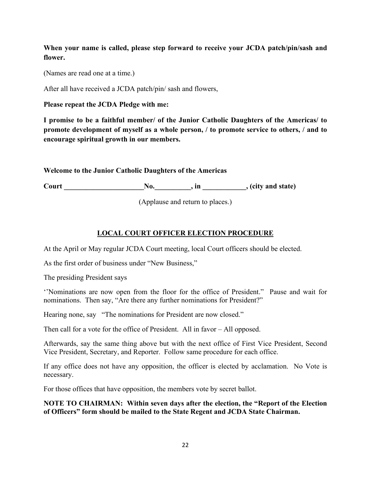**When your name is called, please step forward to receive your JCDA patch/pin/sash and flower.**

(Names are read one at a time.)

After all have received a JCDA patch/pin/ sash and flowers,

**Please repeat the JCDA Pledge with me:**

**I promise to be a faithful member/ of the Junior Catholic Daughters of the Americas/ to promote development of myself as a whole person, / to promote service to others, / and to encourage spiritual growth in our members.** 

**Welcome to the Junior Catholic Daughters of the Americas** 

**Court \_\_\_\_\_\_\_\_\_\_\_\_\_\_\_\_\_\_\_\_\_\_No.\_\_\_\_\_\_\_\_\_\_, in \_\_\_\_\_\_\_\_\_\_\_\_, (city and state)**

(Applause and return to places.)

# **LOCAL COURT OFFICER ELECTION PROCEDURE**

At the April or May regular JCDA Court meeting, local Court officers should be elected.

As the first order of business under "New Business,"

The presiding President says

''Nominations are now open from the floor for the office of President." Pause and wait for nominations. Then say, "Are there any further nominations for President?"

Hearing none, say "The nominations for President are now closed."

Then call for a vote for the office of President. All in favor – All opposed.

Afterwards, say the same thing above but with the next office of First Vice President, Second Vice President, Secretary, and Reporter. Follow same procedure for each office.

If any office does not have any opposition, the officer is elected by acclamation. No Vote is necessary.

For those offices that have opposition, the members vote by secret ballot.

#### **NOTE TO CHAIRMAN: Within seven days after the election, the "Report of the Election of Officers" form should be mailed to the State Regent and JCDA State Chairman.**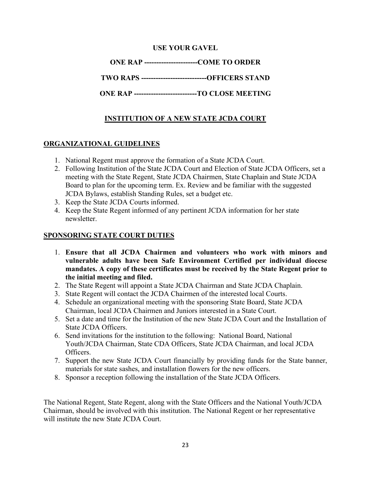# **USE YOUR GAVEL**

**ONE RAP ----------------------COME TO ORDER**

**TWO RAPS ---------------------------OFFICERS STAND**

**ONE RAP --------------------------TO CLOSE MEETING**

# **INSTITUTION OF A NEW STATE JCDA COURT**

# **ORGANIZATIONAL GUIDELINES**

- 1. National Regent must approve the formation of a State JCDA Court.
- 2. Following Institution of the State JCDA Court and Election of State JCDA Officers, set a meeting with the State Regent, State JCDA Chairmen, State Chaplain and State JCDA Board to plan for the upcoming term. Ex. Review and be familiar with the suggested JCDA Bylaws, establish Standing Rules, set a budget etc.
- 3. Keep the State JCDA Courts informed.
- 4. Keep the State Regent informed of any pertinent JCDA information for her state newsletter.

#### **SPONSORING STATE COURT DUTIES**

- 1. **Ensure that all JCDA Chairmen and volunteers who work with minors and vulnerable adults have been Safe Environment Certified per individual diocese mandates. A copy of these certificates must be received by the State Regent prior to the initial meeting and filed.**
- 2. The State Regent will appoint a State JCDA Chairman and State JCDA Chaplain.
- 3. State Regent will contact the JCDA Chairmen of the interested local Courts.
- 4. Schedule an organizational meeting with the sponsoring State Board, State JCDA Chairman, local JCDA Chairmen and Juniors interested in a State Court.
- 5. Set a date and time for the Institution of the new State JCDA Court and the Installation of State JCDA Officers.
- 6. Send invitations for the institution to the following: National Board, National Youth/JCDA Chairman, State CDA Officers, State JCDA Chairman, and local JCDA Officers.
- 7. Support the new State JCDA Court financially by providing funds for the State banner, materials for state sashes, and installation flowers for the new officers.
- 8. Sponsor a reception following the installation of the State JCDA Officers.

The National Regent, State Regent, along with the State Officers and the National Youth/JCDA Chairman, should be involved with this institution. The National Regent or her representative will institute the new State JCDA Court.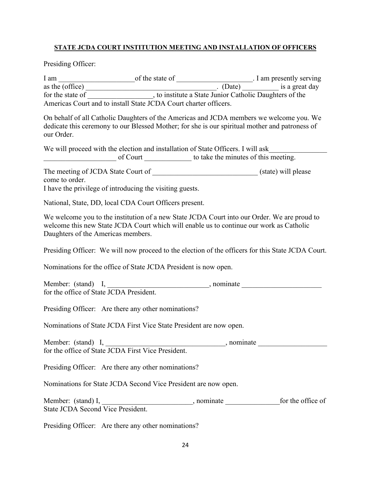# **STATE JCDA COURT INSTITUTION MEETING AND INSTALLATION OF OFFICERS**

Presiding Officer:

| our Order.                              | On behalf of all Catholic Daughters of the Americas and JCDA members we welcome you. We<br>dedicate this ceremony to our Blessed Mother; for she is our spiritual mother and patroness of |  |
|-----------------------------------------|-------------------------------------------------------------------------------------------------------------------------------------------------------------------------------------------|--|
|                                         | We will proceed with the election and installation of State Officers. I will ask                                                                                                          |  |
| come to order.                          | I have the privilege of introducing the visiting guests.                                                                                                                                  |  |
|                                         | National, State, DD, local CDA Court Officers present.                                                                                                                                    |  |
| Daughters of the Americas members.      | We welcome you to the institution of a new State JCDA Court into our Order. We are proud to<br>welcome this new State JCDA Court which will enable us to continue our work as Catholic    |  |
|                                         | Presiding Officer: We will now proceed to the election of the officers for this State JCDA Court.                                                                                         |  |
|                                         | Nominations for the office of State JCDA President is now open.                                                                                                                           |  |
| for the office of State JCDA President. |                                                                                                                                                                                           |  |
|                                         | Presiding Officer: Are there any other nominations?                                                                                                                                       |  |
|                                         | Nominations of State JCDA First Vice State President are now open.                                                                                                                        |  |
|                                         |                                                                                                                                                                                           |  |
|                                         | Presiding Officer: Are there any other nominations?                                                                                                                                       |  |
|                                         | Nominations for State JCDA Second Vice President are now open.                                                                                                                            |  |
|                                         |                                                                                                                                                                                           |  |

Presiding Officer: Are there any other nominations?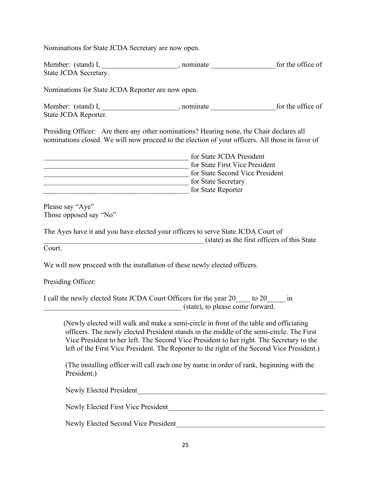Nominations for State JCDA Secretary are now open.

| Member: (stand) I,    | nominate | for the office of |
|-----------------------|----------|-------------------|
| State JCDA Secretary. |          |                   |

Nominations for State JCDA Reporter are now open.

| Member: (stand) I,   | nominate | for the office of |
|----------------------|----------|-------------------|
| State JCDA Reporter. |          |                   |

Presiding Officer: Are there any other nominations? Hearing none, the Chair declares all nominations closed. We will now proceed to the election of your officers. All those in favor of

| for State JCDA President        |  |
|---------------------------------|--|
| for State First Vice President  |  |
| for State Second Vice President |  |
| for State Secretary             |  |
| for State Reporter              |  |

Please say "Aye" Those opposed say "No"

The Ayes have it and you have elected your officers to serve State JCDA Court of \_\_\_\_\_\_\_\_\_\_\_\_\_\_\_\_\_\_\_\_\_\_\_\_\_\_\_\_\_\_\_\_\_\_\_\_\_\_\_\_\_\_\_\_ (state) as the first officers of this State

Court.

We will now proceed with the installation of these newly elected officers.

Presiding Officer:

| I call the newly elected State JCDA Court Officers for the year 20 |                                  | $\frac{1}{2}$ to 20 | 1n |
|--------------------------------------------------------------------|----------------------------------|---------------------|----|
|                                                                    | (state), to please come forward. |                     |    |

 (Newly elected will walk and make a semi-circle in front of the table and officiating officers. The newly elected President stands in the middle of the semi-circle. The First Vice President to her left. The Second Vice President to her right. The Secretary to the left of the First Vice President. The Reporter to the right of the Second Vice President.)

(The installing officer will call each one by name in order of rank, beginning with the President.)

Newly Elected President

Newly Elected First Vice President League and Alexander Metal and Alexander Alexander Alexander Alexander Alex

Newly Elected Second Vice President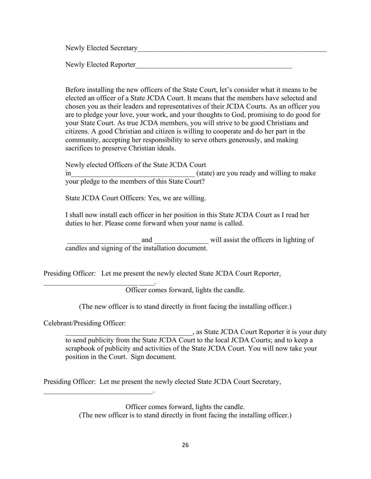Newly Elected Secretary

Newly Elected Reporter

 Before installing the new officers of the State Court, let's consider what it means to be elected an officer of a State JCDA Court. It means that the members have selected and chosen you as their leaders and representatives of their JCDA Courts. As an officer you are to pledge your love, your work, and your thoughts to God, promising to do good for your State Court. As true JCDA members, you will strive to be good Christians and citizens. A good Christian and citizen is willing to cooperate and do her part in the community, accepting her responsibility to serve others generously, and making sacrifices to preserve Christian ideals.

Newly elected Officers of the State JCDA Court  $(state)$  are you ready and willing to make your pledge to the members of this State Court?

State JCDA Court Officers: Yes, we are willing.

I shall now install each officer in her position in this State JCDA Court as I read her duties to her. Please come forward when your name is called.

and will assist the officers in lighting of candles and signing of the installation document.

Presiding Officer: Let me present the newly elected State JCDA Court Reporter,

\_\_\_\_\_\_\_\_\_\_\_\_\_\_\_\_\_\_\_\_\_\_\_\_\_\_ \_\_\_\_. Officer comes forward, lights the candle.

(The new officer is to stand directly in front facing the installing officer.)

Celebrant/Presiding Officer:

 $\mathcal{L}_\text{max}$  and  $\mathcal{L}_\text{max}$  and  $\mathcal{L}_\text{max}$  and  $\mathcal{L}_\text{max}$ 

\_\_\_\_\_\_\_\_\_\_\_\_\_\_\_\_\_\_\_\_\_\_\_\_\_\_\_\_\_\_\_\_\_\_\_, as State JCDA Court Reporter it is your duty to send publicity from the State JCDA Court to the local JCDA Courts; and to keep a scrapbook of publicity and activities of the State JCDA Court. You will now take your position in the Court. Sign document.

Presiding Officer: Let me present the newly elected State JCDA Court Secretary,

Officer comes forward, lights the candle. (The new officer is to stand directly in front facing the installing officer.)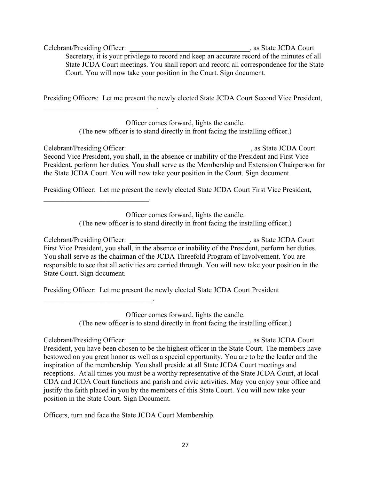Celebrant/Presiding Officer:  $\qquad \qquad$ , as State JCDA Court Secretary, it is your privilege to record and keep an accurate record of the minutes of all State JCDA Court meetings. You shall report and record all correspondence for the State Court. You will now take your position in the Court. Sign document.

Presiding Officers: Let me present the newly elected State JCDA Court Second Vice President,

 $\mathcal{L}_\text{max}$  , and the set of the set of the set of the set of the set of the set of the set of the set of the set of the set of the set of the set of the set of the set of the set of the set of the set of the set of the

\_\_\_\_\_\_\_\_\_\_\_\_\_\_\_\_\_\_\_\_\_\_\_\_\_\_\_\_\_.

\_\_\_\_\_\_\_\_\_\_\_\_\_\_\_\_\_\_\_\_\_\_\_\_\_\_\_\_\_\_.

Officer comes forward, lights the candle. (The new officer is to stand directly in front facing the installing officer.)

Celebrant/Presiding Officer: example and a state JCDA Court Second Vice President, you shall, in the absence or inability of the President and First Vice President, perform her duties. You shall serve as the Membership and Extension Chairperson for the State JCDA Court. You will now take your position in the Court. Sign document.

Presiding Officer: Let me present the newly elected State JCDA Court First Vice President,

Officer comes forward, lights the candle. (The new officer is to stand directly in front facing the installing officer.)

Celebrant/Presiding Officer:  $\qquad \qquad$ , as State JCDA Court First Vice President, you shall, in the absence or inability of the President, perform her duties. You shall serve as the chairman of the JCDA Threefold Program of Involvement. You are responsible to see that all activities are carried through. You will now take your position in the State Court. Sign document.

Presiding Officer: Let me present the newly elected State JCDA Court President

Officer comes forward, lights the candle. (The new officer is to stand directly in front facing the installing officer.)

Celebrant/Presiding Officer:  $\qquad \qquad$ , as State JCDA Court President, you have been chosen to be the highest officer in the State Court. The members have bestowed on you great honor as well as a special opportunity. You are to be the leader and the inspiration of the membership. You shall preside at all State JCDA Court meetings and receptions. At all times you must be a worthy representative of the State JCDA Court, at local CDA and JCDA Court functions and parish and civic activities. May you enjoy your office and justify the faith placed in you by the members of this State Court. You will now take your position in the State Court. Sign Document.

Officers, turn and face the State JCDA Court Membership.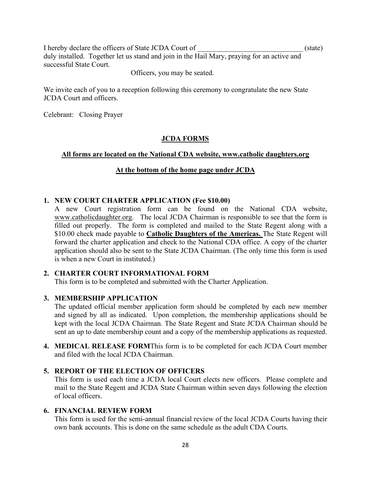I hereby declare the officers of State JCDA Court of  $(state)$ duly installed. Together let us stand and join in the Hail Mary, praying for an active and successful State Court.

Officers, you may be seated.

We invite each of you to a reception following this ceremony to congratulate the new State JCDA Court and officers.

Celebrant: Closing Prayer

#### **JCDA FORMS**

#### **All forms are located on the National CDA website, www.catholic daughters.org**

# **At the bottom of the home page under JCDA**

#### **1. NEW COURT CHARTER APPLICATION (Fee \$10.00)**

A new Court registration form can be found on the National CDA website, [www.catholicdaughter.org.](http://www.catholicdaughter.org/) The local JCDA Chairman is responsible to see that the form is filled out properly. The form is completed and mailed to the State Regent along with a \$10.00 check made payable to **Catholic Daughters of the Americas.** The State Regent will forward the charter application and check to the National CDA office. A copy of the charter application should also be sent to the State JCDA Chairman. (The only time this form is used is when a new Court in instituted.)

#### **2. CHARTER COURT INFORMATIONAL FORM**

This form is to be completed and submitted with the Charter Application.

#### **3. MEMBERSHIP APPLICATION**

The updated official member application form should be completed by each new member and signed by all as indicated. Upon completion, the membership applications should be kept with the local JCDA Chairman. The State Regent and State JCDA Chairman should be sent an up to date membership count and a copy of the membership applications as requested.

**4. MEDICAL RELEASE FORM**This form is to be completed for each JCDA Court member and filed with the local JCDA Chairman.

#### **5. REPORT OF THE ELECTION OF OFFICERS**

This form is used each time a JCDA local Court elects new officers. Please complete and mail to the State Regent and JCDA State Chairman within seven days following the election of local officers.

#### **6. FINANCIAL REVIEW FORM**

This form is used for the semi-annual financial review of the local JCDA Courts having their own bank accounts. This is done on the same schedule as the adult CDA Courts.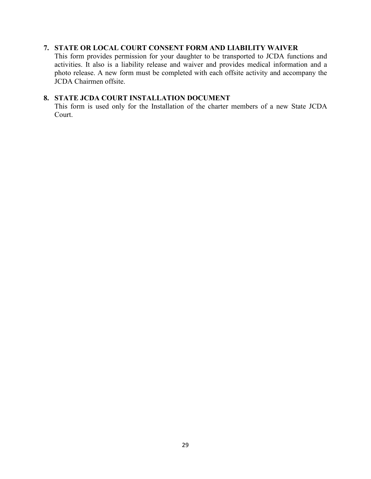#### **7. STATE OR LOCAL COURT CONSENT FORM AND LIABILITY WAIVER**

This form provides permission for your daughter to be transported to JCDA functions and activities. It also is a liability release and waiver and provides medical information and a photo release. A new form must be completed with each offsite activity and accompany the JCDA Chairmen offsite.

#### **8. STATE JCDA COURT INSTALLATION DOCUMENT**

This form is used only for the Installation of the charter members of a new State JCDA Court.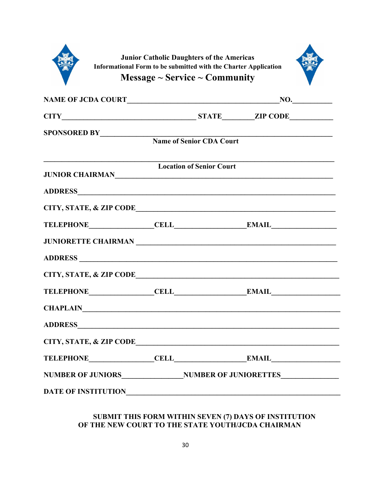| Informational Form to be submitted with the Charter Application                  | <b>Junior Catholic Daughters of the Americas</b><br>Message $\sim$ Service $\sim$ Community |     |  |
|----------------------------------------------------------------------------------|---------------------------------------------------------------------------------------------|-----|--|
|                                                                                  |                                                                                             | NO. |  |
|                                                                                  |                                                                                             |     |  |
| SPONSORED BY<br>Name of Senior CDA Court                                         |                                                                                             |     |  |
| <u> 1989 - Johann Barbara, martxa alemaniar arg</u><br>JUNIOR CHAIRMAN           | <b>Location of Senior Court</b>                                                             |     |  |
|                                                                                  |                                                                                             |     |  |
| CITY, STATE, & ZIP CODE                                                          |                                                                                             |     |  |
|                                                                                  |                                                                                             |     |  |
|                                                                                  |                                                                                             |     |  |
|                                                                                  |                                                                                             |     |  |
|                                                                                  |                                                                                             |     |  |
|                                                                                  |                                                                                             |     |  |
|                                                                                  |                                                                                             |     |  |
|                                                                                  |                                                                                             |     |  |
|                                                                                  |                                                                                             |     |  |
| NUMBER OF JUNIORS______________________NUMBER OF JUNIORETTES____________________ |                                                                                             |     |  |
| DATE OF INSTITUTIONNALLY AND THE SERVICE OF INSTITUTION                          |                                                                                             |     |  |

#### **SUBMIT THIS FORM WITHIN SEVEN (7) DAYS OF INSTITUTION OF THE NEW COURT TO THE STATE YOUTH/JCDA CHAIRMAN**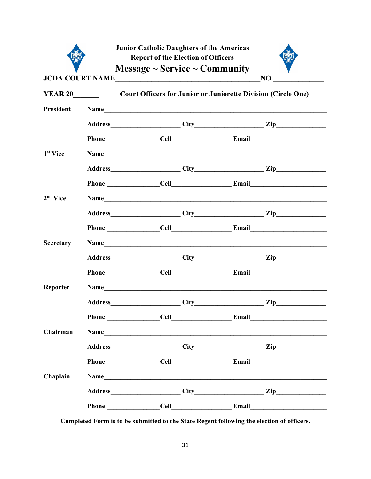|                      | <b>Junior Catholic Daughters of the Americas</b><br><b>Report of the Election of Officers</b><br>Message $\sim$ Service $\sim$ Community |  |                       |
|----------------------|------------------------------------------------------------------------------------------------------------------------------------------|--|-----------------------|
|                      | JCDA COURT NAME                                                                                                                          |  | NO.                   |
| <b>YEAR 20</b>       | <b>Court Officers for Junior or Juniorette Division (Circle One)</b>                                                                     |  |                       |
| President            | Name                                                                                                                                     |  |                       |
|                      |                                                                                                                                          |  | Address City City Zip |
|                      |                                                                                                                                          |  |                       |
| 1 <sup>st</sup> Vice | Name                                                                                                                                     |  |                       |
|                      |                                                                                                                                          |  |                       |
|                      |                                                                                                                                          |  |                       |
| 2 <sup>nd</sup> Vice |                                                                                                                                          |  | Name                  |
|                      |                                                                                                                                          |  |                       |
|                      |                                                                                                                                          |  |                       |
| <b>Secretary</b>     |                                                                                                                                          |  |                       |
|                      |                                                                                                                                          |  |                       |
|                      |                                                                                                                                          |  |                       |
| Reporter             | Name                                                                                                                                     |  |                       |
|                      |                                                                                                                                          |  | Address City City Zip |
|                      |                                                                                                                                          |  |                       |
| Chairman             |                                                                                                                                          |  |                       |
|                      |                                                                                                                                          |  |                       |
|                      |                                                                                                                                          |  |                       |
| Chaplain             | Name                                                                                                                                     |  |                       |
|                      |                                                                                                                                          |  |                       |
|                      |                                                                                                                                          |  |                       |

Completed Form is to be submitted to the State Regent following the election of officers.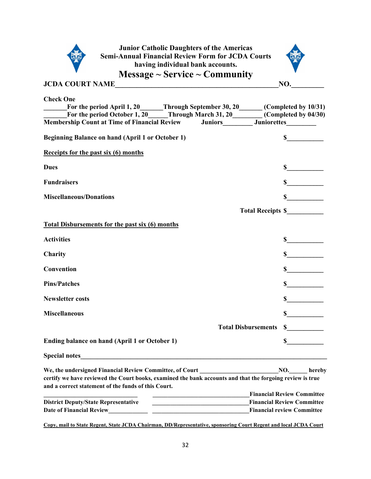

**Junior Catholic Daughters of the Americas Semi-Annual Financial Review Form for JCDA Courts having individual bank accounts. Message ~ Service ~ Community** 



**JCDA COURT NAME\_\_\_\_\_\_\_\_\_\_\_\_\_\_\_\_\_\_\_\_\_\_\_\_\_\_\_\_\_\_\_\_\_\_\_\_\_\_\_\_\_\_\_\_\_NO.\_\_\_\_\_\_\_\_\_** 

| <b>Check One</b>                                                                                                                                   |                                                                                                                       |                                                                   |
|----------------------------------------------------------------------------------------------------------------------------------------------------|-----------------------------------------------------------------------------------------------------------------------|-------------------------------------------------------------------|
| For the period April 1, 20 Through September 30, 20 (Completed by 10/31)<br>For the period October 1, 20 Through March 31, 20 (Completed by 04/30) |                                                                                                                       |                                                                   |
| Membership Count at Time of Financial Review Juniors Juniors Juniorettes                                                                           |                                                                                                                       |                                                                   |
| Beginning Balance on hand (April 1 or October 1)                                                                                                   |                                                                                                                       | $\sim$                                                            |
| Receipts for the past six (6) months                                                                                                               |                                                                                                                       |                                                                   |
| <b>Dues</b>                                                                                                                                        |                                                                                                                       | $\sim$                                                            |
| <b>Fundraisers</b>                                                                                                                                 |                                                                                                                       | s                                                                 |
| <b>Miscellaneous/Donations</b>                                                                                                                     |                                                                                                                       | $\sim$                                                            |
|                                                                                                                                                    |                                                                                                                       | Total Receipts \$                                                 |
| <b>Total Disbursements for the past six (6) months</b>                                                                                             |                                                                                                                       |                                                                   |
| <b>Activities</b>                                                                                                                                  |                                                                                                                       | $\frac{\sim}{}$                                                   |
| Charity                                                                                                                                            |                                                                                                                       | s                                                                 |
| <b>Convention</b>                                                                                                                                  |                                                                                                                       | $\sim$                                                            |
| <b>Pins/Patches</b>                                                                                                                                |                                                                                                                       | $\sim$                                                            |
| <b>Newsletter costs</b>                                                                                                                            |                                                                                                                       | $\sim$                                                            |
| <b>Miscellaneous</b>                                                                                                                               |                                                                                                                       | $\frac{\text{S}}{\text{S}}$                                       |
|                                                                                                                                                    |                                                                                                                       | $\frac{\int f(x) dx}{\int f(x) dx}$<br><b>Total Disbursements</b> |
| Ending balance on hand (April 1 or October 1)                                                                                                      |                                                                                                                       | $\sim$                                                            |
|                                                                                                                                                    |                                                                                                                       |                                                                   |
| We, the undersigned Financial Review Committee, of Court                                                                                           |                                                                                                                       | NO.<br>hereby                                                     |
| certify we have reviewed the Court books, examined the bank accounts and that the forgoing review is true                                          |                                                                                                                       |                                                                   |
| and a correct statement of the funds of this Court.                                                                                                |                                                                                                                       |                                                                   |
|                                                                                                                                                    |                                                                                                                       | <b>Financial Review Committee</b>                                 |
| <b>District Deputy/State Representative</b>                                                                                                        | <u> 1989 - Johann Harry Barn, mars ar breist ar yn y breist y breist yn y breist ar y breist ar y breist ar y br</u>  | <b>Financial Review Committee</b>                                 |
| <b>Date of Financial Review</b>                                                                                                                    | <u> 1989 - Johann Harry Harry Harry Harry Harry Harry Harry Harry Harry Harry Harry Harry Harry Harry Harry Harry</u> | <b>Financial review Committee</b>                                 |
| Copy, mail to State Regent, State JCDA Chairman, DD/Representative, sponsoring Court Regent and local JCDA Court                                   |                                                                                                                       |                                                                   |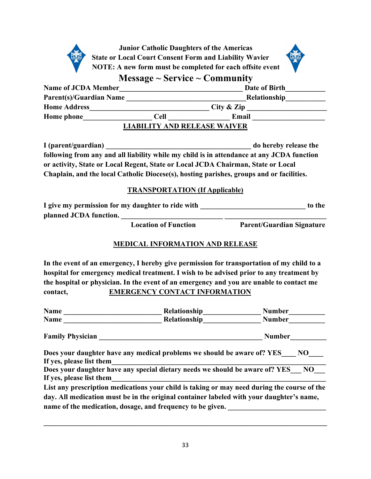

**Junior Catholic Daughters of the Americas State or Local Court Consent Form and Liability Wavier NOTE: A new form must be completed for each offsite event**



**Message ~ Service ~ Community** 

| <b>Name of JCDA Member</b>     |                      | Date of Birth                       |
|--------------------------------|----------------------|-------------------------------------|
| <b>Parent(s)/Guardian Name</b> |                      | Relationship                        |
| <b>Home Address</b>            |                      | City $\&$ Zip                       |
| <b>Home</b> phone              | Email<br><b>Cell</b> |                                     |
|                                |                      | <b>LIABILITY AND RELEASE WAIVER</b> |

**I** (parent/guardian) **the same of the set of the set of the set of the set of the set of the set of the set of the**  $\frac{1}{2}$ **following from any and all liability while my child is in attendance at any JCDA function or activity, State or Local Regent, State or Local JCDA Chairman, State or Local Chaplain, and the local Catholic Diocese(s), hosting parishes, groups and or facilities.** 

#### **TRANSPORTATION (If Applicable)**

| I give my permission for my daughter to ride with | to the |
|---------------------------------------------------|--------|
| planned JCDA function.                            |        |

 **Location of Function Parent/Guardian Signature**

#### **MEDICAL INFORMATION AND RELEASE**

**In the event of an emergency, I hereby give permission for transportation of my child to a hospital for emergency medical treatment. I wish to be advised prior to any treatment by the hospital or physician. In the event of an emergency and you are unable to contact me contact, EMERGENCY CONTACT INFORMATION**

| <b>Name</b>              | Relationship                                                                                | <b>Number</b> |
|--------------------------|---------------------------------------------------------------------------------------------|---------------|
| Name                     | Relationship                                                                                | <b>Number</b> |
| <b>Family Physician</b>  |                                                                                             | <b>Number</b> |
|                          | Does your daughter have any medical problems we should be aware of? YES NO                  |               |
| If yes, please list them |                                                                                             |               |
|                          | Does your daughter have any special dietary needs we should be aware of? YES NO             |               |
| If yes, please list them |                                                                                             |               |
|                          | List any prescription medications your child is taking or may need during the course of the |               |
|                          | day. All medication must be in the original container labeled with your daughter's name,    |               |
|                          | name of the medication, dosage, and frequency to be given.                                  |               |

**\_\_\_\_\_\_\_\_\_\_\_\_\_\_\_\_\_\_\_\_\_\_\_\_\_\_\_\_\_\_\_\_\_\_\_\_\_\_\_\_\_\_\_\_\_\_\_\_\_\_\_\_\_\_\_\_\_\_\_\_\_\_\_\_\_\_\_\_\_\_\_\_\_\_\_\_\_\_**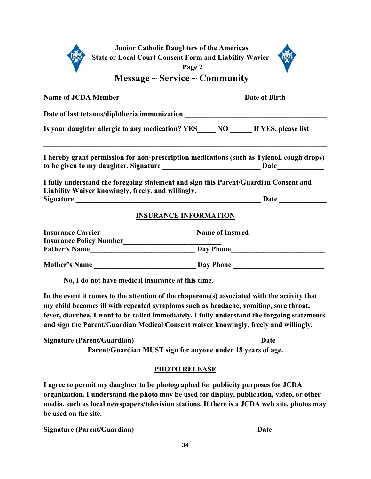|                                                    | <b>Junior Catholic Daughters of the Americas</b><br><b>State or Local Court Consent Form and Liability Wavier</b><br>Page 2                                                                                                                                                                                                                                                  |
|----------------------------------------------------|------------------------------------------------------------------------------------------------------------------------------------------------------------------------------------------------------------------------------------------------------------------------------------------------------------------------------------------------------------------------------|
|                                                    | Message $\sim$ Service $\sim$ Community                                                                                                                                                                                                                                                                                                                                      |
|                                                    |                                                                                                                                                                                                                                                                                                                                                                              |
|                                                    | Date of last tetanus/diphtheria immunization ___________________________________                                                                                                                                                                                                                                                                                             |
|                                                    | Is your daughter allergic to any medication? $\text{YES}$ $\_\text{NO}$ $\_\text{III}$ If YES, please list                                                                                                                                                                                                                                                                   |
|                                                    | I hereby grant permission for non-prescription medications (such as Tylenol, cough drops)                                                                                                                                                                                                                                                                                    |
| Liability Waiver knowingly, freely, and willingly. | I fully understand the foregoing statement and sign this Parent/Guardian Consent and                                                                                                                                                                                                                                                                                         |
|                                                    | <b>INSURANCE INFORMATION</b>                                                                                                                                                                                                                                                                                                                                                 |
|                                                    |                                                                                                                                                                                                                                                                                                                                                                              |
|                                                    |                                                                                                                                                                                                                                                                                                                                                                              |
|                                                    |                                                                                                                                                                                                                                                                                                                                                                              |
|                                                    |                                                                                                                                                                                                                                                                                                                                                                              |
| No, I do not have medical insurance at this time.  |                                                                                                                                                                                                                                                                                                                                                                              |
|                                                    | In the event it comes to the attention of the chaperone(s) associated with the activity that<br>my child becomes ill with repeated symptoms such as headache, vomiting, sore throat,<br>fever, diarrhea, I want to be called immediately. I fully understand the forgoing statements<br>and sign the Parent/Guardian Medical Consent waiver knowingly, freely and willingly. |
| Signature (Parent/Guardian)                        | Date                                                                                                                                                                                                                                                                                                                                                                         |
|                                                    | Parent/Guardian MUST sign for anyone under 18 years of age.                                                                                                                                                                                                                                                                                                                  |

#### **PHOTO RELEASE**

**I agree to permit my daughter to be photographed for publicity purposes for JCDA organization. I understand the photo may be used for display, publication, video, or other media, such as local newspapers/television stations. If there is a JCDA web site, photos may be used on the site.**

**Signature (Parent/Guardian) \_\_\_\_\_\_\_\_\_\_\_\_\_\_\_\_\_\_\_\_\_\_\_\_\_\_\_\_\_\_\_\_\_ Date \_\_\_\_\_\_\_\_\_\_\_\_\_\_**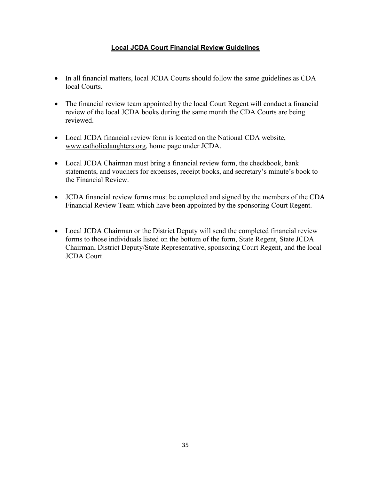#### **Local JCDA Court Financial Review Guidelines**

- In all financial matters, local JCDA Courts should follow the same guidelines as CDA local Courts.
- The financial review team appointed by the local Court Regent will conduct a financial review of the local JCDA books during the same month the CDA Courts are being reviewed.
- Local JCDA financial review form is located on the National CDA website, [www.catholicdaughters.org,](http://www.catholicdaughters.org/) home page under JCDA.
- Local JCDA Chairman must bring a financial review form, the checkbook, bank statements, and vouchers for expenses, receipt books, and secretary's minute's book to the Financial Review.
- JCDA financial review forms must be completed and signed by the members of the CDA Financial Review Team which have been appointed by the sponsoring Court Regent.
- Local JCDA Chairman or the District Deputy will send the completed financial review forms to those individuals listed on the bottom of the form, State Regent, State JCDA Chairman, District Deputy/State Representative, sponsoring Court Regent, and the local JCDA Court.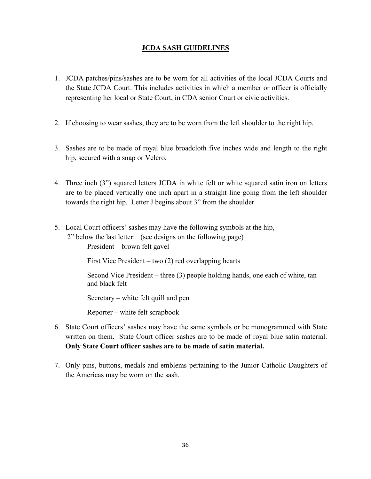#### **JCDA SASH GUIDELINES**

- 1. JCDA patches/pins/sashes are to be worn for all activities of the local JCDA Courts and the State JCDA Court. This includes activities in which a member or officer is officially representing her local or State Court, in CDA senior Court or civic activities.
- 2. If choosing to wear sashes, they are to be worn from the left shoulder to the right hip.
- 3. Sashes are to be made of royal blue broadcloth five inches wide and length to the right hip, secured with a snap or Velcro.
- 4. Three inch (3") squared letters JCDA in white felt or white squared satin iron on letters are to be placed vertically one inch apart in a straight line going from the left shoulder towards the right hip. Letter J begins about 3" from the shoulder.
- 5. Local Court officers' sashes may have the following symbols at the hip, 2" below the last letter: (see designs on the following page)

President – brown felt gavel

First Vice President – two (2) red overlapping hearts

Second Vice President – three (3) people holding hands, one each of white, tan and black felt

Secretary – white felt quill and pen

Reporter – white felt scrapbook

- 6. State Court officers' sashes may have the same symbols or be monogrammed with State written on them. State Court officer sashes are to be made of royal blue satin material. **Only State Court officer sashes are to be made of satin material.**
- 7. Only pins, buttons, medals and emblems pertaining to the Junior Catholic Daughters of the Americas may be worn on the sash.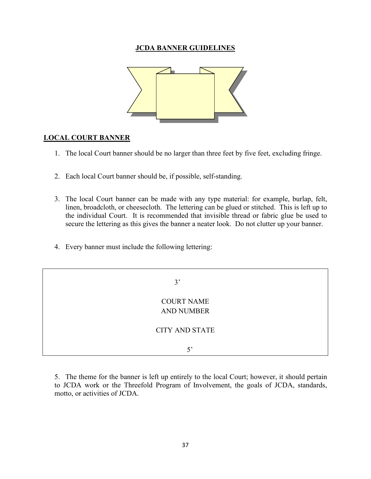#### **JCDA BANNER GUIDELINES**



#### **LOCAL COURT BANNER**

- 1. The local Court banner should be no larger than three feet by five feet, excluding fringe.
- 2. Each local Court banner should be, if possible, self-standing.
- 3. The local Court banner can be made with any type material: for example, burlap, felt, linen, broadcloth, or cheesecloth. The lettering can be glued or stitched. This is left up to the individual Court. It is recommended that invisible thread or fabric glue be used to secure the lettering as this gives the banner a neater look. Do not clutter up your banner.
- 4. Every banner must include the following lettering:

 3' COURT NAME AND NUMBER CITY AND STATE 5'

5. The theme for the banner is left up entirely to the local Court; however, it should pertain to JCDA work or the Threefold Program of Involvement, the goals of JCDA, standards, motto, or activities of JCDA.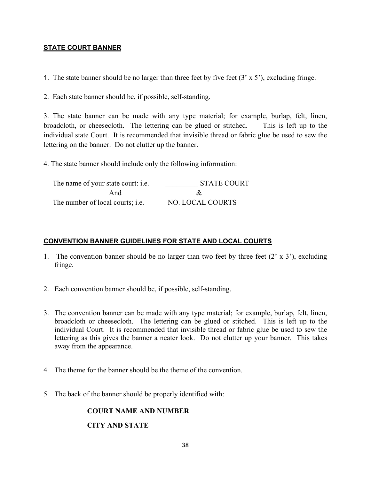#### **STATE COURT BANNER**

1. The state banner should be no larger than three feet by five feet  $(3 \times 5')$ , excluding fringe.

2. Each state banner should be, if possible, self-standing.

3. The state banner can be made with any type material; for example, burlap, felt, linen, broadcloth, or cheesecloth. The lettering can be glued or stitched. This is left up to the individual state Court. It is recommended that invisible thread or fabric glue be used to sew the lettering on the banner. Do not clutter up the banner.

4. The state banner should include only the following information:

| The name of your state court: i.e.      | STATE COURT      |
|-----------------------------------------|------------------|
| And                                     |                  |
| The number of local courts; <i>i.e.</i> | NO. LOCAL COURTS |

#### **CONVENTION BANNER GUIDELINES FOR STATE AND LOCAL COURTS**

- 1. The convention banner should be no larger than two feet by three feet  $(2 \times 3')$ , excluding fringe.
- 2. Each convention banner should be, if possible, self-standing.
- 3. The convention banner can be made with any type material; for example, burlap, felt, linen, broadcloth or cheesecloth. The lettering can be glued or stitched. This is left up to the individual Court. It is recommended that invisible thread or fabric glue be used to sew the lettering as this gives the banner a neater look. Do not clutter up your banner. This takes away from the appearance.
- 4. The theme for the banner should be the theme of the convention.
- 5. The back of the banner should be properly identified with:

# **COURT NAME AND NUMBER**

#### **CITY AND STATE**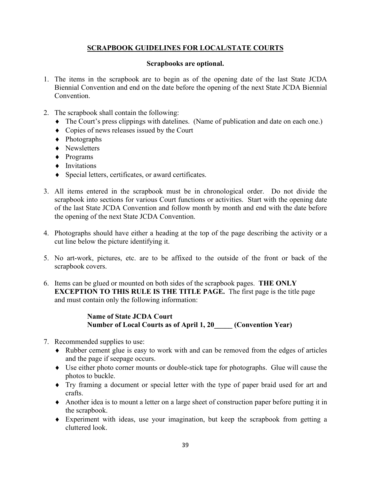# **SCRAPBOOK GUIDELINES FOR LOCAL/STATE COURTS**

#### **Scrapbooks are optional.**

- 1. The items in the scrapbook are to begin as of the opening date of the last State JCDA Biennial Convention and end on the date before the opening of the next State JCDA Biennial Convention.
- 2. The scrapbook shall contain the following:
	- ♦ The Court's press clippings with datelines. (Name of publication and date on each one.)
	- ♦ Copies of news releases issued by the Court
	- ♦ Photographs
	- ♦ Newsletters
	- ♦ Programs
	- ♦ Invitations
	- ♦ Special letters, certificates, or award certificates.
- 3. All items entered in the scrapbook must be in chronological order. Do not divide the scrapbook into sections for various Court functions or activities. Start with the opening date of the last State JCDA Convention and follow month by month and end with the date before the opening of the next State JCDA Convention.
- 4. Photographs should have either a heading at the top of the page describing the activity or a cut line below the picture identifying it.
- 5. No art-work, pictures, etc. are to be affixed to the outside of the front or back of the scrapbook covers.
- 6. Items can be glued or mounted on both sides of the scrapbook pages. **THE ONLY EXCEPTION TO THIS RULE IS THE TITLE PAGE.** The first page is the title page and must contain only the following information:

#### **Name of State JCDA Court Number of Local Courts as of April 1, 20\_\_\_\_\_ (Convention Year)**

- 7. Recommended supplies to use:
	- ♦ Rubber cement glue is easy to work with and can be removed from the edges of articles and the page if seepage occurs.
	- ♦ Use either photo corner mounts or double-stick tape for photographs. Glue will cause the photos to buckle.
	- ♦ Try framing a document or special letter with the type of paper braid used for art and crafts.
	- ♦ Another idea is to mount a letter on a large sheet of construction paper before putting it in the scrapbook.
	- ♦ Experiment with ideas, use your imagination, but keep the scrapbook from getting a cluttered look.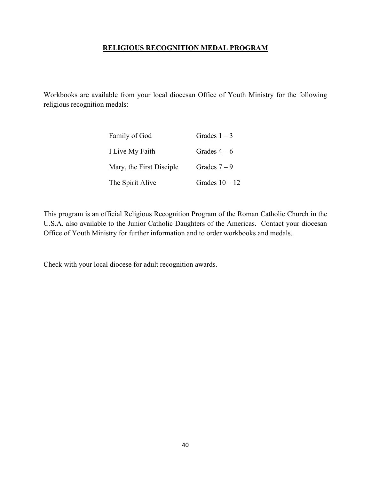#### **RELIGIOUS RECOGNITION MEDAL PROGRAM**

Workbooks are available from your local diocesan Office of Youth Ministry for the following religious recognition medals:

| Family of God            | Grades $1-3$     |
|--------------------------|------------------|
| I Live My Faith          | Grades $4-6$     |
| Mary, the First Disciple | Grades $7-9$     |
| The Spirit Alive         | Grades $10 - 12$ |

This program is an official Religious Recognition Program of the Roman Catholic Church in the U.S.A. also available to the Junior Catholic Daughters of the Americas. Contact your diocesan Office of Youth Ministry for further information and to order workbooks and medals.

Check with your local diocese for adult recognition awards.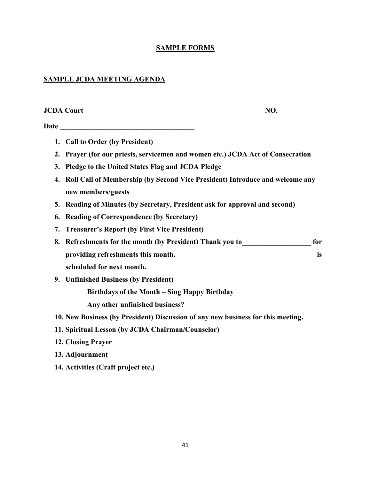# **SAMPLE FORMS**

# **SAMPLE JCDA MEETING AGENDA**

| 1. Call to Order (by President)                                                                          |    |
|----------------------------------------------------------------------------------------------------------|----|
| Prayer (for our priests, servicemen and women etc.) JCDA Act of Consecration<br>2.                       |    |
| Pledge to the United States Flag and JCDA Pledge<br>3.                                                   |    |
| Roll Call of Membership (by Second Vice President) Introduce and welcome any<br>4.<br>new members/guests |    |
| Reading of Minutes (by Secretary, President ask for approval and second)<br>5.                           |    |
| <b>Reading of Correspondence (by Secretary)</b><br>6.                                                    |    |
| <b>Treasurer's Report (by First Vice President)</b><br>7.                                                |    |
| Refreshments for the month (by President) Thank you to<br><u>row compresents</u> for<br>8.               |    |
|                                                                                                          | is |
| scheduled for next month.                                                                                |    |
| 9. Unfinished Business (by President)                                                                    |    |
| Birthdays of the Month - Sing Happy Birthday                                                             |    |
| Any other unfinished business?                                                                           |    |
| 10. New Business (by President) Discussion of any new business for this meeting.                         |    |
| 11. Spiritual Lesson (by JCDA Chairman/Counselor)                                                        |    |
| 12. Closing Prayer                                                                                       |    |
| 13. Adjournment                                                                                          |    |
| 14. Activities (Craft project etc.)                                                                      |    |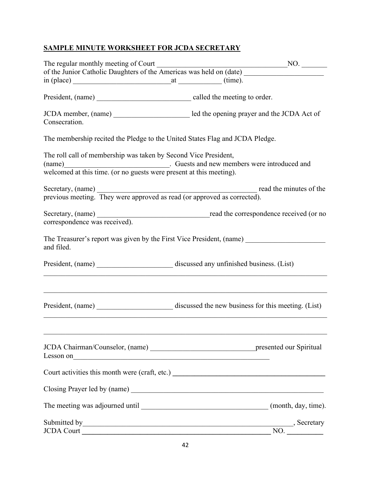# **SAMPLE MINUTE WORKSHEET FOR JCDA SECRETARY**

| The regular monthly meeting of Court<br>of the Junior Catholic Daughters of the Americas was held on (date)<br>NO.                                                                                                             |  |
|--------------------------------------------------------------------------------------------------------------------------------------------------------------------------------------------------------------------------------|--|
| $\sin(\text{place})$ $\text{at}$ $\text{at}$ $(\text{time}).$                                                                                                                                                                  |  |
|                                                                                                                                                                                                                                |  |
| Consecration.                                                                                                                                                                                                                  |  |
| The membership recited the Pledge to the United States Flag and JCDA Pledge.                                                                                                                                                   |  |
| The roll call of membership was taken by Second Vice President,<br>(name) Cuests and new members were introduced and welcomed at this time. (or no guests were present at this meeting).                                       |  |
| Secretary, (name) read the minutes of the previous meeting. They were approved as read (or approved as corrected).                                                                                                             |  |
| Secretary, (name) read the correspondence received (or no<br>correspondence was received).                                                                                                                                     |  |
| The Treasurer's report was given by the First Vice President, (name)<br>and filed.                                                                                                                                             |  |
|                                                                                                                                                                                                                                |  |
|                                                                                                                                                                                                                                |  |
|                                                                                                                                                                                                                                |  |
| Court activities this month were (craft, etc.) __________________________________                                                                                                                                              |  |
|                                                                                                                                                                                                                                |  |
|                                                                                                                                                                                                                                |  |
| Submitted by Secretary Secretary Secretary Secretary Secretary Secretary Secretary Secretary Secretary Secretary Secretary Secretary Secretary Secretary Secretary Secretary Secretary Secretary Secretary Secretary Secretary |  |
| JCDA Court                                                                                                                                                                                                                     |  |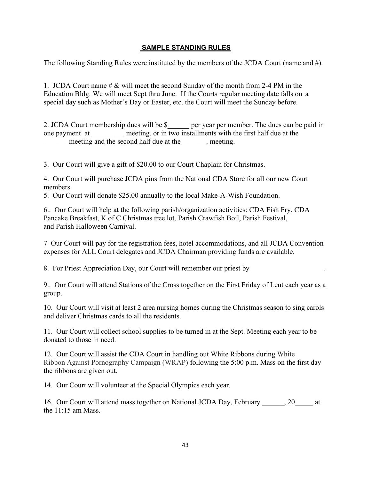#### **SAMPLE STANDING RULES**

The following Standing Rules were instituted by the members of the JCDA Court (name and #).

1. JCDA Court name # & will meet the second Sunday of the month from 2-4 PM in the Education Bldg. We will meet Sept thru June. If the Courts regular meeting date falls on a special day such as Mother's Day or Easter, etc. the Court will meet the Sunday before.

2. JCDA Court membership dues will be \$\_\_\_\_\_\_ per year per member. The dues can be paid in one payment at meeting, or in two installments with the first half due at the meeting and the second half due at the meeting.

3. Our Court will give a gift of \$20.00 to our Court Chaplain for Christmas.

4. Our Court will purchase JCDA pins from the National CDA Store for all our new Court members.

5. Our Court will donate \$25.00 annually to the local Make-A-Wish Foundation.

6.. Our Court will help at the following parish/organization activities: CDA Fish Fry, CDA Pancake Breakfast, K of C Christmas tree lot, Parish Crawfish Boil, Parish Festival, and Parish Halloween Carnival.

7 Our Court will pay for the registration fees, hotel accommodations, and all JCDA Convention expenses for ALL Court delegates and JCDA Chairman providing funds are available.

8. For Priest Appreciation Day, our Court will remember our priest by

9.. Our Court will attend Stations of the Cross together on the First Friday of Lent each year as a group.

10. Our Court will visit at least 2 area nursing homes during the Christmas season to sing carols and deliver Christmas cards to all the residents.

11. Our Court will collect school supplies to be turned in at the Sept. Meeting each year to be donated to those in need.

12. Our Court will assist the CDA Court in handling out White Ribbons during White Ribbon Against Pornography Campaign (WRAP) following the 5:00 p.m. Mass on the first day the ribbons are given out.

14. Our Court will volunteer at the Special Olympics each year.

16. Our Court will attend mass together on National JCDA Day, February 20 at the 11:15 am Mass.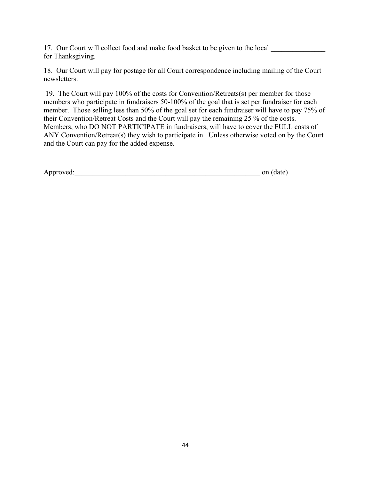17. Our Court will collect food and make food basket to be given to the local for Thanksgiving.

18. Our Court will pay for postage for all Court correspondence including mailing of the Court newsletters.

19. The Court will pay 100% of the costs for Convention/Retreats(s) per member for those members who participate in fundraisers 50-100% of the goal that is set per fundraiser for each member. Those selling less than 50% of the goal set for each fundraiser will have to pay 75% of their Convention/Retreat Costs and the Court will pay the remaining 25 % of the costs. Members, who DO NOT PARTICIPATE in fundraisers, will have to cover the FULL costs of ANY Convention/Retreat(s) they wish to participate in. Unless otherwise voted on by the Court and the Court can pay for the added expense.

| Approved: | on (date) |
|-----------|-----------|
|-----------|-----------|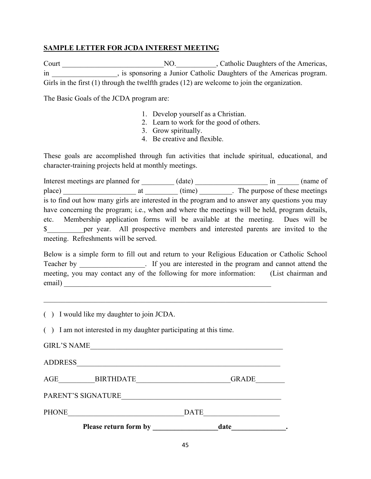#### **SAMPLE LETTER FOR JCDA INTEREST MEETING**

Court NO. No. Catholic Daughters of the Americas, in in the sponsoring a Junior Catholic Daughters of the Americas program. Girls in the first (1) through the twelfth grades (12) are welcome to join the organization.

The Basic Goals of the JCDA program are:

- 1. Develop yourself as a Christian.
- 2. Learn to work for the good of others.
- 3. Grow spiritually.
- 4. Be creative and flexible.

These goals are accomplished through fun activities that include spiritual, educational, and character-training projects held at monthly meetings.

Interest meetings are planned for  $(date)$   $in$   $(name of$ place) \_\_\_\_\_\_\_\_\_\_\_\_\_\_\_\_\_\_\_\_ at \_\_\_\_\_\_\_\_\_ (time) \_\_\_\_\_\_\_\_\_. The purpose of these meetings is to find out how many girls are interested in the program and to answer any questions you may have concerning the program; i.e., when and where the meetings will be held, program details, etc. Membership application forms will be available at the meeting. Dues will be \$\_\_\_\_\_\_\_\_\_\_per year. All prospective members and interested parents are invited to the meeting. Refreshments will be served.

Below is a simple form to fill out and return to your Religious Education or Catholic School Teacher by \_\_\_\_\_\_\_\_\_\_\_\_\_\_\_. If you are interested in the program and cannot attend the meeting, you may contact any of the following for more information: (List chairman and email)

( ) I would like my daughter to join JCDA.

( ) I am not interested in my daughter participating at this time.

| Please return form by   | date         |
|-------------------------|--------------|
| <b>PHONE</b>            | <b>DATE</b>  |
| PARENT'S SIGNATURE      |              |
| AGE<br><b>BIRTHDATE</b> | <b>GRADE</b> |
| <b>ADDRESS</b>          |              |
| <b>GIRL'S NAME</b>      |              |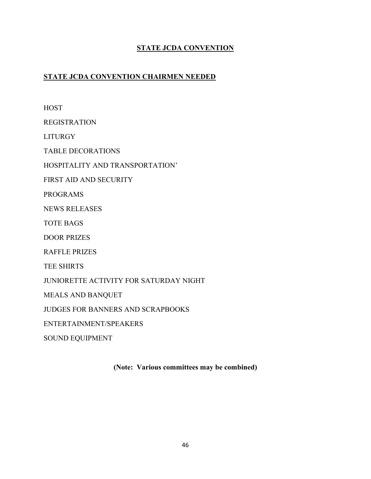# **STATE JCDA CONVENTION**

# **STATE JCDA CONVENTION CHAIRMEN NEEDED**

**HOST** REGISTRATION LITURGY TABLE DECORATIONS HOSPITALITY AND TRANSPORTATION' FIRST AID AND SECURITY PROGRAMS NEWS RELEASES TOTE BAGS DOOR PRIZES RAFFLE PRIZES TEE SHIRTS JUNIORETTE ACTIVITY FOR SATURDAY NIGHT MEALS AND BANQUET JUDGES FOR BANNERS AND SCRAPBOOKS ENTERTAINMENT/SPEAKERS SOUND EQUIPMENT

**(Note: Various committees may be combined)**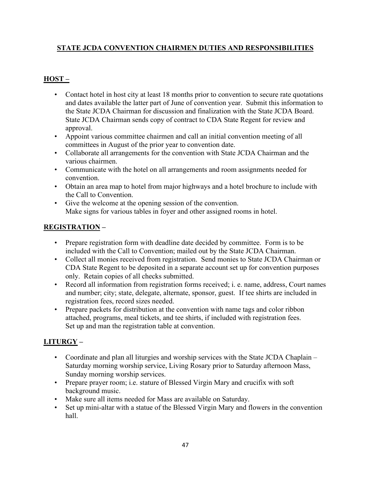# **STATE JCDA CONVENTION CHAIRMEN DUTIES AND RESPONSIBILITIES**

# **HOST –**

- Contact hotel in host city at least 18 months prior to convention to secure rate quotations and dates available the latter part of June of convention year. Submit this information to the State JCDA Chairman for discussion and finalization with the State JCDA Board. State JCDA Chairman sends copy of contract to CDA State Regent for review and approval.
- Appoint various committee chairmen and call an initial convention meeting of all committees in August of the prior year to convention date.
- Collaborate all arrangements for the convention with State JCDA Chairman and the various chairmen.
- Communicate with the hotel on all arrangements and room assignments needed for convention.
- Obtain an area map to hotel from major highways and a hotel brochure to include with the Call to Convention.
- Give the welcome at the opening session of the convention. Make signs for various tables in foyer and other assigned rooms in hotel.

# **REGISTRATION –**

- Prepare registration form with deadline date decided by committee. Form is to be included with the Call to Convention; mailed out by the State JCDA Chairman.
- Collect all monies received from registration. Send monies to State JCDA Chairman or CDA State Regent to be deposited in a separate account set up for convention purposes only. Retain copies of all checks submitted.
- Record all information from registration forms received; i. e. name, address, Court names and number; city; state, delegate, alternate, sponsor, guest. If tee shirts are included in registration fees, record sizes needed.
- Prepare packets for distribution at the convention with name tags and color ribbon attached, programs, meal tickets, and tee shirts, if included with registration fees. Set up and man the registration table at convention.

# **LITURGY –**

- Coordinate and plan all liturgies and worship services with the State JCDA Chaplain Saturday morning worship service, Living Rosary prior to Saturday afternoon Mass, Sunday morning worship services.
- Prepare prayer room; i.e. stature of Blessed Virgin Mary and crucifix with soft background music.
- Make sure all items needed for Mass are available on Saturday.
- Set up mini-altar with a statue of the Blessed Virgin Mary and flowers in the convention hall.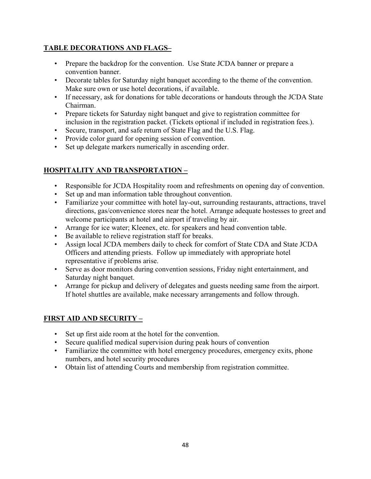# **TABLE DECORATIONS AND FLAGS–**

- Prepare the backdrop for the convention. Use State JCDA banner or prepare a convention banner.
- Decorate tables for Saturday night banquet according to the theme of the convention. Make sure own or use hotel decorations, if available.
- If necessary, ask for donations for table decorations or handouts through the JCDA State Chairman.
- Prepare tickets for Saturday night banquet and give to registration committee for inclusion in the registration packet. (Tickets optional if included in registration fees.).
- Secure, transport, and safe return of State Flag and the U.S. Flag.
- Provide color guard for opening session of convention.
- Set up delegate markers numerically in ascending order.

# **HOSPITALITY AND TRANSPORTATION –**

- Responsible for JCDA Hospitality room and refreshments on opening day of convention.
- Set up and man information table throughout convention.
- Familiarize your committee with hotel lay-out, surrounding restaurants, attractions, travel directions, gas/convenience stores near the hotel. Arrange adequate hostesses to greet and welcome participants at hotel and airport if traveling by air.
- Arrange for ice water; Kleenex, etc. for speakers and head convention table.
- Be available to relieve registration staff for breaks.
- Assign local JCDA members daily to check for comfort of State CDA and State JCDA Officers and attending priests. Follow up immediately with appropriate hotel representative if problems arise.
- Serve as door monitors during convention sessions, Friday night entertainment, and Saturday night banquet.
- Arrange for pickup and delivery of delegates and guests needing same from the airport. If hotel shuttles are available, make necessary arrangements and follow through.

# **FIRST AID AND SECURITY –**

- Set up first aide room at the hotel for the convention.
- Secure qualified medical supervision during peak hours of convention
- Familiarize the committee with hotel emergency procedures, emergency exits, phone numbers, and hotel security procedures
- Obtain list of attending Courts and membership from registration committee.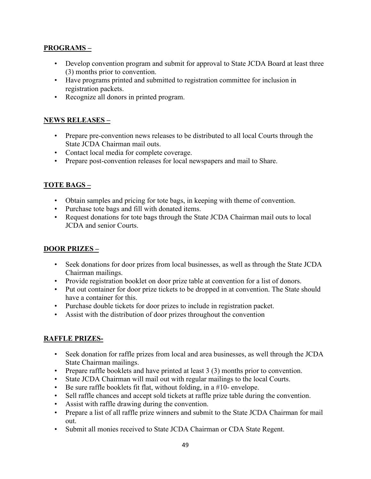### **PROGRAMS –**

- Develop convention program and submit for approval to State JCDA Board at least three (3) months prior to convention.
- Have programs printed and submitted to registration committee for inclusion in registration packets.
- Recognize all donors in printed program.

# **NEWS RELEASES –**

- Prepare pre-convention news releases to be distributed to all local Courts through the State JCDA Chairman mail outs.
- Contact local media for complete coverage.
- Prepare post-convention releases for local newspapers and mail to Share.

# **TOTE BAGS –**

- Obtain samples and pricing for tote bags, in keeping with theme of convention.
- Purchase tote bags and fill with donated items.
- Request donations for tote bags through the State JCDA Chairman mail outs to local JCDA and senior Courts.

#### **DOOR PRIZES –**

- Seek donations for door prizes from local businesses, as well as through the State JCDA Chairman mailings.
- Provide registration booklet on door prize table at convention for a list of donors.
- Put out container for door prize tickets to be dropped in at convention. The State should have a container for this.
- Purchase double tickets for door prizes to include in registration packet.
- Assist with the distribution of door prizes throughout the convention

# **RAFFLE PRIZES-**

- Seek donation for raffle prizes from local and area businesses, as well through the JCDA State Chairman mailings.
- Prepare raffle booklets and have printed at least 3 (3) months prior to convention.
- State JCDA Chairman will mail out with regular mailings to the local Courts.
- Be sure raffle booklets fit flat, without folding, in a  $#10$  envelope.
- Sell raffle chances and accept sold tickets at raffle prize table during the convention.
- Assist with raffle drawing during the convention.
- Prepare a list of all raffle prize winners and submit to the State JCDA Chairman for mail out.
- Submit all monies received to State JCDA Chairman or CDA State Regent.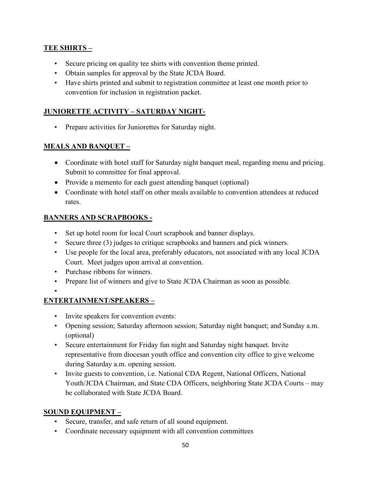# **TEE SHIRTS –**

- Secure pricing on quality tee shirts with convention theme printed.
- Obtain samples for approval by the State JCDA Board.
- Have shirts printed and submit to registration committee at least one month prior to convention for inclusion in registration packet.

# **JUNIORETTE ACTIVITY – SATURDAY NIGHT-**

• Prepare activities for Juniorettes for Saturday night.

# **MEALS AND BANQUET –**

- Coordinate with hotel staff for Saturday night banquet meal, regarding menu and pricing. Submit to committee for final approval.
- Provide a memento for each guest attending banquet (optional)
- Coordinate with hotel staff on other meals available to convention attendees at reduced rates.

# **BANNERS AND SCRAPBOOKS -**

- Set up hotel room for local Court scrapbook and banner displays.
- Secure three (3) judges to critique scrapbooks and banners and pick winners.
- Use people for the local area, preferably educators, not associated with any local JCDA Court. Meet judges upon arrival at convention.
- Purchase ribbons for winners.
- Prepare list of winners and give to State JCDA Chairman as soon as possible.

# •

# **ENTERTAINMENT/SPEAKERS –**

- Invite speakers for convention events:
- Opening session; Saturday afternoon session; Saturday night banquet; and Sunday a.m. (optional)
- Secure entertainment for Friday fun night and Saturday night banquet. Invite representative from diocesan youth office and convention city office to give welcome during Saturday a.m. opening session.
- Invite guests to convention, i.e. National CDA Regent, National Officers, National Youth/JCDA Chairman, and State CDA Officers, neighboring State JCDA Courts – may be collaborated with State JCDA Board.

# **SOUND EQUIPMENT –**

- Secure, transfer, and safe return of all sound equipment.
- Coordinate necessary equipment with all convention committees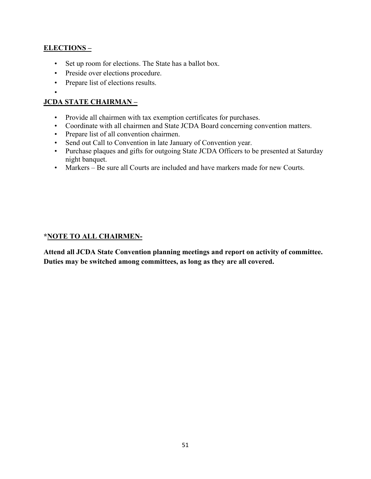# **ELECTIONS –**

- Set up room for elections. The State has a ballot box.
- Preside over elections procedure.
- Prepare list of elections results.
- •

# **JCDA STATE CHAIRMAN –**

- Provide all chairmen with tax exemption certificates for purchases.
- Coordinate with all chairmen and State JCDA Board concerning convention matters.
- Prepare list of all convention chairmen.
- Send out Call to Convention in late January of Convention year.
- Purchase plaques and gifts for outgoing State JCDA Officers to be presented at Saturday night banquet.
- Markers Be sure all Courts are included and have markers made for new Courts.

#### **\*NOTE TO ALL CHAIRMEN-**

**Attend all JCDA State Convention planning meetings and report on activity of committee. Duties may be switched among committees, as long as they are all covered.**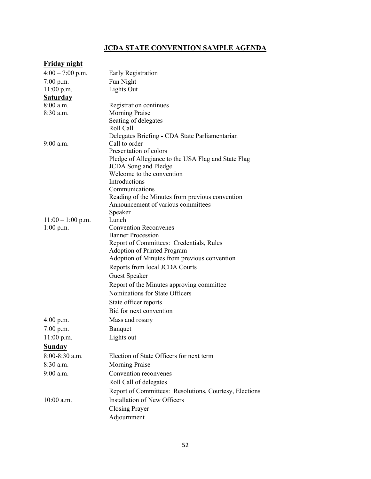# **JCDA STATE CONVENTION SAMPLE AGENDA**

| <b>Friday night</b> |                                                                 |
|---------------------|-----------------------------------------------------------------|
| $4:00 - 7:00$ p.m.  | Early Registration                                              |
| $7:00$ p.m.         | Fun Night                                                       |
| $11:00$ p.m.        | Lights Out                                                      |
| <b>Saturday</b>     |                                                                 |
| 8:00 a.m.           | Registration continues                                          |
| $8:30$ a.m.         | <b>Morning Praise</b>                                           |
|                     | Seating of delegates                                            |
|                     | Roll Call                                                       |
| $9:00$ a.m.         | Delegates Briefing - CDA State Parliamentarian<br>Call to order |
|                     | Presentation of colors                                          |
|                     | Pledge of Allegiance to the USA Flag and State Flag             |
|                     | <b>JCDA</b> Song and Pledge                                     |
|                     | Welcome to the convention                                       |
|                     | Introductions                                                   |
|                     | Communications                                                  |
|                     | Reading of the Minutes from previous convention                 |
|                     | Announcement of various committees                              |
|                     | Speaker                                                         |
| $11:00 - 1:00$ p.m. | Lunch                                                           |
| $1:00$ p.m.         | <b>Convention Reconvenes</b><br><b>Banner Procession</b>        |
|                     | Report of Committees: Credentials, Rules                        |
|                     | <b>Adoption of Printed Program</b>                              |
|                     | Adoption of Minutes from previous convention                    |
|                     | Reports from local JCDA Courts                                  |
|                     | <b>Guest Speaker</b>                                            |
|                     | Report of the Minutes approving committee                       |
|                     | Nominations for State Officers                                  |
|                     | State officer reports                                           |
|                     | Bid for next convention                                         |
| $4:00$ p.m.         | Mass and rosary                                                 |
| 7:00 p.m.           | Banquet                                                         |
| 11:00 p.m.          | Lights out                                                      |
| <b>Sunday</b>       |                                                                 |
| 8:00-8:30 a.m.      | Election of State Officers for next term                        |
| 8:30 a.m.           | <b>Morning Praise</b>                                           |
| 9:00 a.m.           | Convention reconvenes                                           |
|                     | Roll Call of delegates                                          |
|                     | Report of Committees: Resolutions, Courtesy, Elections          |
| 10:00 a.m.          | <b>Installation of New Officers</b>                             |
|                     | <b>Closing Prayer</b>                                           |
|                     | Adjournment                                                     |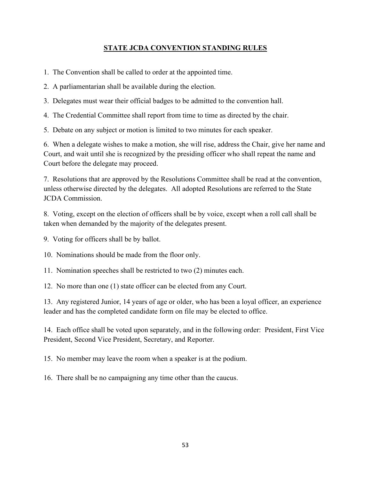# **STATE JCDA CONVENTION STANDING RULES**

1. The Convention shall be called to order at the appointed time.

2. A parliamentarian shall be available during the election.

3. Delegates must wear their official badges to be admitted to the convention hall.

4. The Credential Committee shall report from time to time as directed by the chair.

5. Debate on any subject or motion is limited to two minutes for each speaker.

6. When a delegate wishes to make a motion, she will rise, address the Chair, give her name and Court, and wait until she is recognized by the presiding officer who shall repeat the name and Court before the delegate may proceed.

7. Resolutions that are approved by the Resolutions Committee shall be read at the convention, unless otherwise directed by the delegates. All adopted Resolutions are referred to the State JCDA Commission.

8. Voting, except on the election of officers shall be by voice, except when a roll call shall be taken when demanded by the majority of the delegates present.

9. Voting for officers shall be by ballot.

10. Nominations should be made from the floor only.

11. Nomination speeches shall be restricted to two (2) minutes each.

12. No more than one (1) state officer can be elected from any Court.

13. Any registered Junior, 14 years of age or older, who has been a loyal officer, an experience leader and has the completed candidate form on file may be elected to office.

14. Each office shall be voted upon separately, and in the following order: President, First Vice President, Second Vice President, Secretary, and Reporter.

15. No member may leave the room when a speaker is at the podium.

16. There shall be no campaigning any time other than the caucus.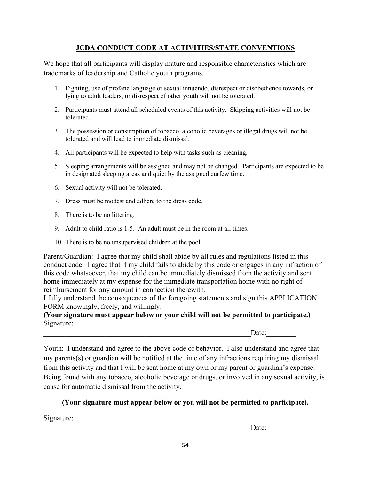# **JCDA CONDUCT CODE AT ACTIVITIES/STATE CONVENTIONS**

We hope that all participants will display mature and responsible characteristics which are trademarks of leadership and Catholic youth programs.

- 1. Fighting, use of profane language or sexual innuendo, disrespect or disobedience towards, or lying to adult leaders, or disrespect of other youth will not be tolerated.
- 2. Participants must attend all scheduled events of this activity. Skipping activities will not be tolerated.
- 3. The possession or consumption of tobacco, alcoholic beverages or illegal drugs will not be tolerated and will lead to immediate dismissal.
- 4. All participants will be expected to help with tasks such as cleaning.
- 5. Sleeping arrangements will be assigned and may not be changed. Participants are expected to be in designated sleeping areas and quiet by the assigned curfew time.
- 6. Sexual activity will not be tolerated.
- 7. Dress must be modest and adhere to the dress code.
- 8. There is to be no littering.
- 9. Adult to child ratio is 1-5. An adult must be in the room at all times.
- 10. There is to be no unsupervised children at the pool.

Parent/Guardian: I agree that my child shall abide by all rules and regulations listed in this conduct code. I agree that if my child fails to abide by this code or engages in any infraction of this code whatsoever, that my child can be immediately dismissed from the activity and sent home immediately at my expense for the immediate transportation home with no right of reimbursement for any amount in connection therewith.

I fully understand the consequences of the foregoing statements and sign this APPLICATION FORM knowingly, freely, and willingly.

**(Your signature must appear below or your child will not be permitted to participate.)** Signature:

 $Date:$ 

Youth: I understand and agree to the above code of behavior. I also understand and agree that my parents(s) or guardian will be notified at the time of any infractions requiring my dismissal from this activity and that I will be sent home at my own or my parent or guardian's expense. Being found with any tobacco, alcoholic beverage or drugs, or involved in any sexual activity, is cause for automatic dismissal from the activity.

# **(Your signature must appear below or you will not be permitted to participate).**

Signature:

\_\_\_\_\_\_\_\_\_\_\_\_\_\_\_\_\_\_\_\_\_\_\_\_\_\_\_\_\_\_\_\_\_\_\_\_\_\_\_\_\_\_\_\_\_\_\_\_\_\_\_\_\_\_\_\_\_Date:\_\_\_\_\_\_\_\_